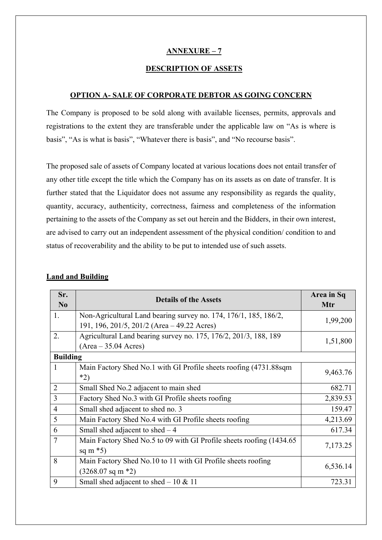### **ANNEXURE – 7**

#### **DESCRIPTION OF ASSETS**

#### **OPTION A- SALE OF CORPORATE DEBTOR AS GOING CONCERN**

The Company is proposed to be sold along with available licenses, permits, approvals and registrations to the extent they are transferable under the applicable law on "As is where is basis", "As is what is basis", "Whatever there is basis", and "No recourse basis".

The proposed sale of assets of Company located at various locations does not entail transfer of any other title except the title which the Company has on its assets as on date of transfer. It is further stated that the Liquidator does not assume any responsibility as regards the quality, quantity, accuracy, authenticity, correctness, fairness and completeness of the information pertaining to the assets of the Company as set out herein and the Bidders, in their own interest, are advised to carry out an independent assessment of the physical condition/ condition to and status of recoverability and the ability to be put to intended use of such assets.

| Sr.<br>$\mathbf{N}\mathbf{0}$ | <b>Details of the Assets</b>                                          | Area in Sq<br>Mtr |
|-------------------------------|-----------------------------------------------------------------------|-------------------|
| 1.                            | Non-Agricultural Land bearing survey no. 174, 176/1, 185, 186/2,      | 1,99,200          |
|                               | 191, 196, 201/5, 201/2 (Area – 49.22 Acres)                           |                   |
| 2.                            | Agricultural Land bearing survey no. 175, 176/2, 201/3, 188, 189      | 1,51,800          |
|                               | $(Area - 35.04 Acres)$                                                |                   |
| <b>Building</b>               |                                                                       |                   |
| 1                             | Main Factory Shed No.1 with GI Profile sheets roofing (4731.88sqm)    | 9,463.76          |
|                               | $*2)$                                                                 |                   |
| $\overline{2}$                | Small Shed No.2 adjacent to main shed                                 | 682.71            |
| 3                             | Factory Shed No.3 with GI Profile sheets roofing                      | 2,839.53          |
| $\overline{4}$                | Small shed adjacent to shed no. 3                                     | 159.47            |
| 5                             | Main Factory Shed No.4 with GI Profile sheets roofing                 | 4,213.69          |
| 6                             | Small shed adjacent to shed $-4$                                      | 617.34            |
| $\overline{7}$                | Main Factory Shed No.5 to 09 with GI Profile sheets roofing (1434.65) |                   |
|                               | sq m $*5$ )                                                           | 7,173.25          |
| 8                             | Main Factory Shed No.10 to 11 with GI Profile sheets roofing          | 6,536.14          |
|                               | $(3268.07 \text{ sq m} \cdot 2)$                                      |                   |
| 9                             | Small shed adjacent to shed $-10 \& 11$                               | 723.31            |

#### **Land and Building**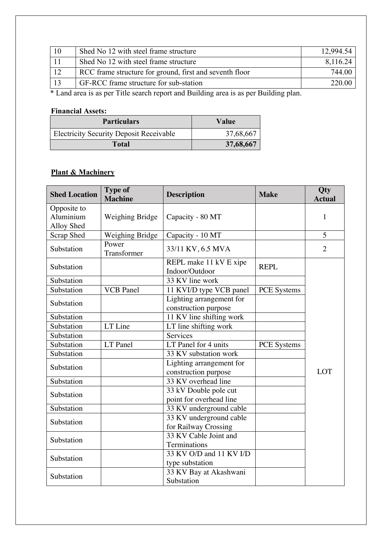| -10 | Shed No 12 with steel frame structure                   | 12,994.54 |
|-----|---------------------------------------------------------|-----------|
|     | Shed No 12 with steel frame structure                   | 8,116.24  |
|     | RCC frame structure for ground, first and seventh floor | 744.00    |
|     | GF-RCC frame structure for sub-station                  | 220.00    |
| ψT  | $T^*$ '1 1'<br>$T^{\ast}$ . 1<br>$1 \, \text{m}$ '11'   |           |

\* Land area is as per Title search report and Building area is as per Building plan.

## **Financial Assets:**

| <b>Particulars</b>                             | Value     |
|------------------------------------------------|-----------|
| <b>Electricity Security Deposit Receivable</b> | 37,68,667 |
| Total                                          | 37,68,667 |

# **Plant & Machinery**

| <b>Shed Location</b>                   | <b>Type of</b><br><b>Machine</b> | <b>Description</b>                                      | <b>Make</b>        | Qty<br><b>Actual</b> |
|----------------------------------------|----------------------------------|---------------------------------------------------------|--------------------|----------------------|
| Opposite to<br>Aluminium<br>Alloy Shed | Weighing Bridge                  | Capacity - 80 MT                                        |                    | $\mathbf{1}$         |
| Scrap Shed                             | Weighing Bridge                  | Capacity - 10 MT                                        |                    | 5                    |
| Substation                             | Power<br>Transformer             | 33/11 KV, 6.5 MVA                                       |                    | $\overline{2}$       |
| Substation                             |                                  | REPL make 11 kV E xipe<br>Indoor/Outdoor                | <b>REPL</b>        |                      |
| Substation                             |                                  | 33 KV line work                                         |                    |                      |
| Substation                             | <b>VCB</b> Panel                 | 11 KVI/D type VCB panel                                 | <b>PCE</b> Systems |                      |
| Substation                             |                                  | Lighting arrangement for<br>construction purpose        |                    |                      |
| Substation                             |                                  | 11 KV line shifting work                                |                    |                      |
| Substation                             | LT Line                          | LT line shifting work                                   |                    |                      |
| Substation                             |                                  | Services                                                |                    |                      |
| Substation                             | LT Panel                         | LT Panel for 4 units                                    | <b>PCE</b> Systems |                      |
| Substation                             |                                  | 33 KV substation work                                   |                    |                      |
| Substation                             |                                  | Lighting arrangement for<br>construction purpose        |                    | LOT                  |
| Substation                             |                                  | 33 KV overhead line                                     |                    |                      |
| Substation                             |                                  | 33 kV Double pole cut<br>point for overhead line        |                    |                      |
| Substation                             |                                  | 33 KV underground cable                                 |                    |                      |
| Substation                             |                                  | 33 KV underground cable<br>for Railway Crossing         |                    |                      |
| Substation                             |                                  | 33 KV Cable Joint and<br>Terminations                   |                    |                      |
| Substation                             |                                  | 33 KV O/D and 11 KV $\overline{I/D}$<br>type substation |                    |                      |
| Substation                             |                                  | 33 KV Bay at Akashwani<br>Substation                    |                    |                      |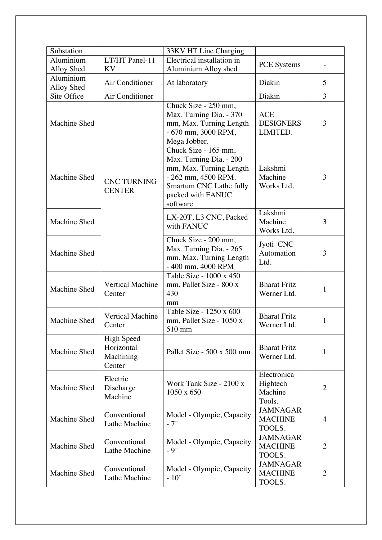| Substation   |                                                        | 33KV HT Line Charging                                                                                                                                         |                                              |                |
|--------------|--------------------------------------------------------|---------------------------------------------------------------------------------------------------------------------------------------------------------------|----------------------------------------------|----------------|
| Aluminium    | LT/HT Panel-11                                         | Electrical installation in                                                                                                                                    | <b>PCE</b> Systems                           |                |
| Alloy Shed   | KV                                                     | Aluminium Alloy shed                                                                                                                                          |                                              |                |
| Aluminium    | Air Conditioner                                        | At laboratory                                                                                                                                                 | Diakin                                       | 5              |
| Alloy Shed   |                                                        |                                                                                                                                                               |                                              |                |
| Site Office  | Air Conditioner                                        |                                                                                                                                                               | Diakin                                       | 3              |
| Machine Shed |                                                        | Chuck Size - 250 mm,<br>Max. Turning Dia. - 370<br>mm, Max. Turning Length<br>- 670 mm, 3000 RPM,<br>Mega Jobber.                                             | <b>ACE</b><br><b>DESIGNERS</b><br>LIMITED.   | 3              |
| Machine Shed | <b>CNC TURNING</b><br><b>CENTER</b>                    | Chuck Size - 165 mm,<br>Max. Turning Dia. - 200<br>mm, Max. Turning Length<br>- 262 mm, 4500 RPM.<br>Smartum CNC Lathe fully<br>packed with FANUC<br>software | Lakshmi<br>Machine<br>Works Ltd.             | 3              |
| Machine Shed |                                                        | LX-20T, L3 CNC, Packed<br>with FANUC                                                                                                                          | Lakshmi<br>Machine<br>Works Ltd.             | 3              |
| Machine Shed |                                                        | Chuck Size - 200 mm,<br>Max. Turning Dia. - 265<br>mm, Max. Turning Length<br>- 400 mm, 4000 RPM                                                              | Jyoti CNC<br>Automation<br>Ltd.              | 3              |
| Machine Shed | <b>Vertical Machine</b><br>Center                      | Table Size - 1000 x 450<br>mm, Pallet Size - 800 x<br>430                                                                                                     | <b>Bharat Fritz</b><br>Werner Ltd.           | $\mathbf{1}$   |
| Machine Shed | <b>Vertical Machine</b><br>Center                      | mm<br>Table Size - 1250 x 600<br>mm, Pallet Size - 1050 x<br>510 mm                                                                                           | <b>Bharat Fritz</b><br>Werner Ltd.           | 1              |
| Machine Shed | <b>High Speed</b><br>Horizontal<br>Machining<br>Center | Pallet Size - 500 x 500 mm                                                                                                                                    | <b>Bharat Fritz</b><br>Werner Ltd.           | 1              |
| Machine Shed | Electric<br>Discharge<br>Machine                       | Work Tank Size - 2100 x<br>1050 x 650                                                                                                                         | Electronica<br>Hightech<br>Machine<br>Tools. | $\overline{2}$ |
| Machine Shed | Conventional<br>Lathe Machine                          | Model - Olympic, Capacity<br>$-7"$                                                                                                                            | <b>JAMNAGAR</b><br><b>MACHINE</b><br>TOOLS.  | 4              |
| Machine Shed | Conventional<br>Lathe Machine                          | Model - Olympic, Capacity<br>$-9"$                                                                                                                            | <b>JAMNAGAR</b><br><b>MACHINE</b><br>TOOLS.  | $\overline{2}$ |
| Machine Shed | Conventional<br>Lathe Machine                          | Model - Olympic, Capacity<br>$-10"$                                                                                                                           | <b>JAMNAGAR</b><br><b>MACHINE</b><br>TOOLS.  | $\overline{2}$ |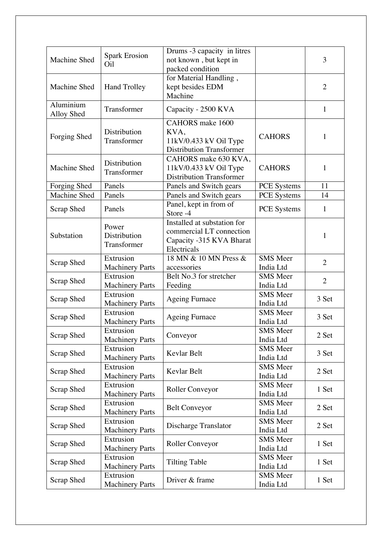| Machine Shed            | <b>Spark Erosion</b><br>O <sub>il</sub> | Drums -3 capacity in litres<br>not known, but kept in<br>packed condition                          |                              | 3              |
|-------------------------|-----------------------------------------|----------------------------------------------------------------------------------------------------|------------------------------|----------------|
| Machine Shed            | <b>Hand Trolley</b>                     | for Material Handling,<br>kept besides EDM<br>Machine                                              |                              | $\overline{2}$ |
| Aluminium<br>Alloy Shed | Transformer                             | Capacity - 2500 KVA                                                                                |                              | $\mathbf{1}$   |
| Forging Shed            | Distribution<br>Transformer             | CAHORS make 1600<br>KVA,<br>11kV/0.433 kV Oil Type<br><b>Distribution Transformer</b>              | <b>CAHORS</b>                | $\mathbf{1}$   |
| Machine Shed            | Distribution<br>Transformer             | CAHORS make 630 KVA,<br>11kV/0.433 kV Oil Type<br><b>Distribution Transformer</b>                  | <b>CAHORS</b>                | $\mathbf{1}$   |
| Forging Shed            | Panels                                  | Panels and Switch gears                                                                            | PCE Systems                  | 11             |
| Machine Shed            | Panels                                  | Panels and Switch gears                                                                            | PCE Systems                  | 14             |
| Scrap Shed              | Panels                                  | Panel, kept in from of<br>Store -4                                                                 | PCE Systems                  | $\mathbf{1}$   |
| Substation              | Power<br>Distribution<br>Transformer    | Installed at substation for<br>commercial LT connection<br>Capacity -315 KVA Bharat<br>Electricals |                              | $\mathbf{1}$   |
| Scrap Shed              | Extrusion<br><b>Machinery Parts</b>     | 18 MN & 10 MN Press &<br>accessories                                                               | <b>SMS</b> Meer<br>India Ltd | $\overline{2}$ |
| Scrap Shed              | Extrusion<br><b>Machinery Parts</b>     | Belt No.3 for stretcher<br>Feeding                                                                 | <b>SMS</b> Meer<br>India Ltd | $\overline{2}$ |
| Scrap Shed              | Extrusion<br><b>Machinery Parts</b>     | <b>Ageing Furnace</b>                                                                              | <b>SMS</b> Meer<br>India Ltd | 3 Set          |
| Scrap Shed              | Extrusion<br><b>Machinery Parts</b>     | <b>Ageing Furnace</b>                                                                              | <b>SMS</b> Meer<br>India Ltd | 3 Set          |
| Scrap Shed              | Extrusion<br><b>Machinery Parts</b>     | Conveyor                                                                                           | <b>SMS</b> Meer<br>India Ltd | 2 Set          |
| Scrap Shed              | Extrusion<br><b>Machinery Parts</b>     | Kevlar Belt                                                                                        | <b>SMS</b> Meer<br>India Ltd | 3 Set          |
| Scrap Shed              | Extrusion<br><b>Machinery Parts</b>     | Kevlar Belt                                                                                        | <b>SMS</b> Meer<br>India Ltd | 2 Set          |
| Scrap Shed              | Extrusion<br><b>Machinery Parts</b>     | Roller Conveyor                                                                                    | <b>SMS</b> Meer<br>India Ltd | 1 Set          |
| Scrap Shed              | Extrusion<br><b>Machinery Parts</b>     | <b>Belt Conveyor</b>                                                                               | <b>SMS</b> Meer<br>India Ltd | 2 Set          |
| Scrap Shed              | Extrusion<br><b>Machinery Parts</b>     | Discharge Translator                                                                               | <b>SMS</b> Meer<br>India Ltd | 2 Set          |
| Scrap Shed              | Extrusion<br><b>Machinery Parts</b>     | Roller Conveyor                                                                                    | <b>SMS</b> Meer<br>India Ltd | 1 Set          |
| Scrap Shed              | Extrusion<br><b>Machinery Parts</b>     | <b>Tilting Table</b>                                                                               | <b>SMS</b> Meer<br>India Ltd | 1 Set          |
| <b>Scrap Shed</b>       | Extrusion<br><b>Machinery Parts</b>     | Driver & frame                                                                                     | <b>SMS</b> Meer<br>India Ltd | 1 Set          |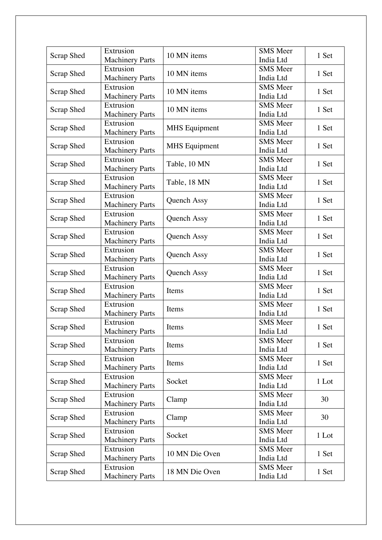| <b>SMS</b> Meer<br>Extrusion<br>10 MN items<br>1 Set<br>Scrap Shed<br><b>Machinery Parts</b><br>India Ltd<br>Extrusion<br><b>SMS</b> Meer<br>10 MN items<br><b>Scrap Shed</b><br>1 Set<br><b>Machinery Parts</b><br>India Ltd<br><b>SMS</b> Meer<br>Extrusion<br>10 MN items<br>1 Set<br>Scrap Shed<br><b>Machinery Parts</b><br>India Ltd<br>Extrusion<br><b>SMS</b> Meer<br>Scrap Shed<br><b>MHS</b> Equipment<br>1 Set<br><b>Machinery Parts</b><br>India Ltd<br>Extrusion<br><b>SMS</b> Meer<br>Scrap Shed<br><b>MHS</b> Equipment<br>1 Set<br><b>Machinery Parts</b><br>India Ltd<br><b>SMS</b> Meer<br>Extrusion<br>Scrap Shed<br>Table, 10 MN<br>1 Set<br><b>Machinery Parts</b><br>India Ltd<br>Extrusion<br><b>SMS</b> Meer<br>1 Set<br>Scrap Shed<br>Table, 18 MN<br><b>Machinery Parts</b><br>India Ltd<br>Extrusion<br><b>SMS</b> Meer<br>1 Set<br>Scrap Shed<br><b>Quench Assy</b><br><b>Machinery Parts</b><br>India Ltd<br><b>SMS</b> Meer<br>Extrusion<br>Scrap Shed<br>Quench Assy<br>1 Set<br><b>Machinery Parts</b><br>India Ltd<br>Extrusion<br><b>SMS</b> Meer<br>1 Set<br>Scrap Shed<br><b>Quench Assy</b><br><b>Machinery Parts</b><br>India Ltd<br>Extrusion<br><b>SMS</b> Meer<br>1 Set<br>Scrap Shed<br><b>Quench Assy</b><br><b>Machinery Parts</b><br>India Ltd<br>Extrusion<br><b>SMS</b> Meer<br>Scrap Shed<br>1 Set<br><b>Quench Assy</b><br><b>Machinery Parts</b><br>India Ltd<br>Extrusion<br><b>SMS</b> Meer<br>Items<br>1 Set<br>Scrap Shed<br><b>Machinery Parts</b><br>India Ltd<br>Extrusion<br><b>SMS</b> Meer<br>Scrap Shed<br>Items<br>1 Set<br><b>Machinery Parts</b><br>India Ltd<br>Extrusion<br><b>SMS</b> Meer<br>1 Set<br><b>Scrap Shed</b><br>Items<br><b>Machinery Parts</b><br>India Ltd<br><b>SMS</b> Meer<br>Extrusion<br>1 Set<br>Scrap Shed<br>Items<br>India Ltd<br><b>Machinery Parts</b><br><b>SMS</b> Meer<br>Extrusion<br>1 Set<br>Scrap Shed<br>Items<br><b>Machinery Parts</b><br>India Ltd<br>Extrusion<br><b>SMS</b> Meer<br>Scrap Shed<br>1 Lot<br>Socket<br><b>Machinery Parts</b><br>India Ltd<br><b>SMS</b> Meer<br>Extrusion<br>30<br>Scrap Shed<br>Clamp<br><b>Machinery Parts</b><br>India Ltd<br>Extrusion<br><b>SMS</b> Meer<br>30<br>Scrap Shed<br>Clamp<br><b>Machinery Parts</b><br>India Ltd<br>Extrusion<br><b>SMS</b> Meer<br>Scrap Shed<br>Socket<br>1 Lot<br><b>Machinery Parts</b><br>India Ltd<br>Extrusion<br><b>SMS</b> Meer<br>Scrap Shed<br>10 MN Die Oven<br>1 Set<br><b>Machinery Parts</b><br>India Ltd<br>Extrusion<br><b>SMS</b> Meer<br>18 MN Die Oven<br><b>Scrap Shed</b><br>1 Set<br><b>Machinery Parts</b><br>India Ltd | Scrap Shed | Extrusion              | 10 MN items | <b>SMS</b> Meer | 1 Set |
|--------------------------------------------------------------------------------------------------------------------------------------------------------------------------------------------------------------------------------------------------------------------------------------------------------------------------------------------------------------------------------------------------------------------------------------------------------------------------------------------------------------------------------------------------------------------------------------------------------------------------------------------------------------------------------------------------------------------------------------------------------------------------------------------------------------------------------------------------------------------------------------------------------------------------------------------------------------------------------------------------------------------------------------------------------------------------------------------------------------------------------------------------------------------------------------------------------------------------------------------------------------------------------------------------------------------------------------------------------------------------------------------------------------------------------------------------------------------------------------------------------------------------------------------------------------------------------------------------------------------------------------------------------------------------------------------------------------------------------------------------------------------------------------------------------------------------------------------------------------------------------------------------------------------------------------------------------------------------------------------------------------------------------------------------------------------------------------------------------------------------------------------------------------------------------------------------------------------------------------------------------------------------------------------------------------------------------------------------------------------------------------------------------------------------------------------------------------------------------------------------------------------------------------------------------------------------------------------------------------------------|------------|------------------------|-------------|-----------------|-------|
|                                                                                                                                                                                                                                                                                                                                                                                                                                                                                                                                                                                                                                                                                                                                                                                                                                                                                                                                                                                                                                                                                                                                                                                                                                                                                                                                                                                                                                                                                                                                                                                                                                                                                                                                                                                                                                                                                                                                                                                                                                                                                                                                                                                                                                                                                                                                                                                                                                                                                                                                                                                                                          |            | <b>Machinery Parts</b> |             | India Ltd       |       |
|                                                                                                                                                                                                                                                                                                                                                                                                                                                                                                                                                                                                                                                                                                                                                                                                                                                                                                                                                                                                                                                                                                                                                                                                                                                                                                                                                                                                                                                                                                                                                                                                                                                                                                                                                                                                                                                                                                                                                                                                                                                                                                                                                                                                                                                                                                                                                                                                                                                                                                                                                                                                                          |            |                        |             |                 |       |
|                                                                                                                                                                                                                                                                                                                                                                                                                                                                                                                                                                                                                                                                                                                                                                                                                                                                                                                                                                                                                                                                                                                                                                                                                                                                                                                                                                                                                                                                                                                                                                                                                                                                                                                                                                                                                                                                                                                                                                                                                                                                                                                                                                                                                                                                                                                                                                                                                                                                                                                                                                                                                          |            |                        |             |                 |       |
|                                                                                                                                                                                                                                                                                                                                                                                                                                                                                                                                                                                                                                                                                                                                                                                                                                                                                                                                                                                                                                                                                                                                                                                                                                                                                                                                                                                                                                                                                                                                                                                                                                                                                                                                                                                                                                                                                                                                                                                                                                                                                                                                                                                                                                                                                                                                                                                                                                                                                                                                                                                                                          |            |                        |             |                 |       |
|                                                                                                                                                                                                                                                                                                                                                                                                                                                                                                                                                                                                                                                                                                                                                                                                                                                                                                                                                                                                                                                                                                                                                                                                                                                                                                                                                                                                                                                                                                                                                                                                                                                                                                                                                                                                                                                                                                                                                                                                                                                                                                                                                                                                                                                                                                                                                                                                                                                                                                                                                                                                                          |            |                        |             |                 |       |
|                                                                                                                                                                                                                                                                                                                                                                                                                                                                                                                                                                                                                                                                                                                                                                                                                                                                                                                                                                                                                                                                                                                                                                                                                                                                                                                                                                                                                                                                                                                                                                                                                                                                                                                                                                                                                                                                                                                                                                                                                                                                                                                                                                                                                                                                                                                                                                                                                                                                                                                                                                                                                          |            |                        |             |                 |       |
|                                                                                                                                                                                                                                                                                                                                                                                                                                                                                                                                                                                                                                                                                                                                                                                                                                                                                                                                                                                                                                                                                                                                                                                                                                                                                                                                                                                                                                                                                                                                                                                                                                                                                                                                                                                                                                                                                                                                                                                                                                                                                                                                                                                                                                                                                                                                                                                                                                                                                                                                                                                                                          |            |                        |             |                 |       |
|                                                                                                                                                                                                                                                                                                                                                                                                                                                                                                                                                                                                                                                                                                                                                                                                                                                                                                                                                                                                                                                                                                                                                                                                                                                                                                                                                                                                                                                                                                                                                                                                                                                                                                                                                                                                                                                                                                                                                                                                                                                                                                                                                                                                                                                                                                                                                                                                                                                                                                                                                                                                                          |            |                        |             |                 |       |
|                                                                                                                                                                                                                                                                                                                                                                                                                                                                                                                                                                                                                                                                                                                                                                                                                                                                                                                                                                                                                                                                                                                                                                                                                                                                                                                                                                                                                                                                                                                                                                                                                                                                                                                                                                                                                                                                                                                                                                                                                                                                                                                                                                                                                                                                                                                                                                                                                                                                                                                                                                                                                          |            |                        |             |                 |       |
|                                                                                                                                                                                                                                                                                                                                                                                                                                                                                                                                                                                                                                                                                                                                                                                                                                                                                                                                                                                                                                                                                                                                                                                                                                                                                                                                                                                                                                                                                                                                                                                                                                                                                                                                                                                                                                                                                                                                                                                                                                                                                                                                                                                                                                                                                                                                                                                                                                                                                                                                                                                                                          |            |                        |             |                 |       |
|                                                                                                                                                                                                                                                                                                                                                                                                                                                                                                                                                                                                                                                                                                                                                                                                                                                                                                                                                                                                                                                                                                                                                                                                                                                                                                                                                                                                                                                                                                                                                                                                                                                                                                                                                                                                                                                                                                                                                                                                                                                                                                                                                                                                                                                                                                                                                                                                                                                                                                                                                                                                                          |            |                        |             |                 |       |
|                                                                                                                                                                                                                                                                                                                                                                                                                                                                                                                                                                                                                                                                                                                                                                                                                                                                                                                                                                                                                                                                                                                                                                                                                                                                                                                                                                                                                                                                                                                                                                                                                                                                                                                                                                                                                                                                                                                                                                                                                                                                                                                                                                                                                                                                                                                                                                                                                                                                                                                                                                                                                          |            |                        |             |                 |       |
|                                                                                                                                                                                                                                                                                                                                                                                                                                                                                                                                                                                                                                                                                                                                                                                                                                                                                                                                                                                                                                                                                                                                                                                                                                                                                                                                                                                                                                                                                                                                                                                                                                                                                                                                                                                                                                                                                                                                                                                                                                                                                                                                                                                                                                                                                                                                                                                                                                                                                                                                                                                                                          |            |                        |             |                 |       |
|                                                                                                                                                                                                                                                                                                                                                                                                                                                                                                                                                                                                                                                                                                                                                                                                                                                                                                                                                                                                                                                                                                                                                                                                                                                                                                                                                                                                                                                                                                                                                                                                                                                                                                                                                                                                                                                                                                                                                                                                                                                                                                                                                                                                                                                                                                                                                                                                                                                                                                                                                                                                                          |            |                        |             |                 |       |
|                                                                                                                                                                                                                                                                                                                                                                                                                                                                                                                                                                                                                                                                                                                                                                                                                                                                                                                                                                                                                                                                                                                                                                                                                                                                                                                                                                                                                                                                                                                                                                                                                                                                                                                                                                                                                                                                                                                                                                                                                                                                                                                                                                                                                                                                                                                                                                                                                                                                                                                                                                                                                          |            |                        |             |                 |       |
|                                                                                                                                                                                                                                                                                                                                                                                                                                                                                                                                                                                                                                                                                                                                                                                                                                                                                                                                                                                                                                                                                                                                                                                                                                                                                                                                                                                                                                                                                                                                                                                                                                                                                                                                                                                                                                                                                                                                                                                                                                                                                                                                                                                                                                                                                                                                                                                                                                                                                                                                                                                                                          |            |                        |             |                 |       |
|                                                                                                                                                                                                                                                                                                                                                                                                                                                                                                                                                                                                                                                                                                                                                                                                                                                                                                                                                                                                                                                                                                                                                                                                                                                                                                                                                                                                                                                                                                                                                                                                                                                                                                                                                                                                                                                                                                                                                                                                                                                                                                                                                                                                                                                                                                                                                                                                                                                                                                                                                                                                                          |            |                        |             |                 |       |
|                                                                                                                                                                                                                                                                                                                                                                                                                                                                                                                                                                                                                                                                                                                                                                                                                                                                                                                                                                                                                                                                                                                                                                                                                                                                                                                                                                                                                                                                                                                                                                                                                                                                                                                                                                                                                                                                                                                                                                                                                                                                                                                                                                                                                                                                                                                                                                                                                                                                                                                                                                                                                          |            |                        |             |                 |       |
|                                                                                                                                                                                                                                                                                                                                                                                                                                                                                                                                                                                                                                                                                                                                                                                                                                                                                                                                                                                                                                                                                                                                                                                                                                                                                                                                                                                                                                                                                                                                                                                                                                                                                                                                                                                                                                                                                                                                                                                                                                                                                                                                                                                                                                                                                                                                                                                                                                                                                                                                                                                                                          |            |                        |             |                 |       |
|                                                                                                                                                                                                                                                                                                                                                                                                                                                                                                                                                                                                                                                                                                                                                                                                                                                                                                                                                                                                                                                                                                                                                                                                                                                                                                                                                                                                                                                                                                                                                                                                                                                                                                                                                                                                                                                                                                                                                                                                                                                                                                                                                                                                                                                                                                                                                                                                                                                                                                                                                                                                                          |            |                        |             |                 |       |
|                                                                                                                                                                                                                                                                                                                                                                                                                                                                                                                                                                                                                                                                                                                                                                                                                                                                                                                                                                                                                                                                                                                                                                                                                                                                                                                                                                                                                                                                                                                                                                                                                                                                                                                                                                                                                                                                                                                                                                                                                                                                                                                                                                                                                                                                                                                                                                                                                                                                                                                                                                                                                          |            |                        |             |                 |       |
|                                                                                                                                                                                                                                                                                                                                                                                                                                                                                                                                                                                                                                                                                                                                                                                                                                                                                                                                                                                                                                                                                                                                                                                                                                                                                                                                                                                                                                                                                                                                                                                                                                                                                                                                                                                                                                                                                                                                                                                                                                                                                                                                                                                                                                                                                                                                                                                                                                                                                                                                                                                                                          |            |                        |             |                 |       |
|                                                                                                                                                                                                                                                                                                                                                                                                                                                                                                                                                                                                                                                                                                                                                                                                                                                                                                                                                                                                                                                                                                                                                                                                                                                                                                                                                                                                                                                                                                                                                                                                                                                                                                                                                                                                                                                                                                                                                                                                                                                                                                                                                                                                                                                                                                                                                                                                                                                                                                                                                                                                                          |            |                        |             |                 |       |
|                                                                                                                                                                                                                                                                                                                                                                                                                                                                                                                                                                                                                                                                                                                                                                                                                                                                                                                                                                                                                                                                                                                                                                                                                                                                                                                                                                                                                                                                                                                                                                                                                                                                                                                                                                                                                                                                                                                                                                                                                                                                                                                                                                                                                                                                                                                                                                                                                                                                                                                                                                                                                          |            |                        |             |                 |       |
|                                                                                                                                                                                                                                                                                                                                                                                                                                                                                                                                                                                                                                                                                                                                                                                                                                                                                                                                                                                                                                                                                                                                                                                                                                                                                                                                                                                                                                                                                                                                                                                                                                                                                                                                                                                                                                                                                                                                                                                                                                                                                                                                                                                                                                                                                                                                                                                                                                                                                                                                                                                                                          |            |                        |             |                 |       |
|                                                                                                                                                                                                                                                                                                                                                                                                                                                                                                                                                                                                                                                                                                                                                                                                                                                                                                                                                                                                                                                                                                                                                                                                                                                                                                                                                                                                                                                                                                                                                                                                                                                                                                                                                                                                                                                                                                                                                                                                                                                                                                                                                                                                                                                                                                                                                                                                                                                                                                                                                                                                                          |            |                        |             |                 |       |
|                                                                                                                                                                                                                                                                                                                                                                                                                                                                                                                                                                                                                                                                                                                                                                                                                                                                                                                                                                                                                                                                                                                                                                                                                                                                                                                                                                                                                                                                                                                                                                                                                                                                                                                                                                                                                                                                                                                                                                                                                                                                                                                                                                                                                                                                                                                                                                                                                                                                                                                                                                                                                          |            |                        |             |                 |       |
|                                                                                                                                                                                                                                                                                                                                                                                                                                                                                                                                                                                                                                                                                                                                                                                                                                                                                                                                                                                                                                                                                                                                                                                                                                                                                                                                                                                                                                                                                                                                                                                                                                                                                                                                                                                                                                                                                                                                                                                                                                                                                                                                                                                                                                                                                                                                                                                                                                                                                                                                                                                                                          |            |                        |             |                 |       |
|                                                                                                                                                                                                                                                                                                                                                                                                                                                                                                                                                                                                                                                                                                                                                                                                                                                                                                                                                                                                                                                                                                                                                                                                                                                                                                                                                                                                                                                                                                                                                                                                                                                                                                                                                                                                                                                                                                                                                                                                                                                                                                                                                                                                                                                                                                                                                                                                                                                                                                                                                                                                                          |            |                        |             |                 |       |
|                                                                                                                                                                                                                                                                                                                                                                                                                                                                                                                                                                                                                                                                                                                                                                                                                                                                                                                                                                                                                                                                                                                                                                                                                                                                                                                                                                                                                                                                                                                                                                                                                                                                                                                                                                                                                                                                                                                                                                                                                                                                                                                                                                                                                                                                                                                                                                                                                                                                                                                                                                                                                          |            |                        |             |                 |       |
|                                                                                                                                                                                                                                                                                                                                                                                                                                                                                                                                                                                                                                                                                                                                                                                                                                                                                                                                                                                                                                                                                                                                                                                                                                                                                                                                                                                                                                                                                                                                                                                                                                                                                                                                                                                                                                                                                                                                                                                                                                                                                                                                                                                                                                                                                                                                                                                                                                                                                                                                                                                                                          |            |                        |             |                 |       |
|                                                                                                                                                                                                                                                                                                                                                                                                                                                                                                                                                                                                                                                                                                                                                                                                                                                                                                                                                                                                                                                                                                                                                                                                                                                                                                                                                                                                                                                                                                                                                                                                                                                                                                                                                                                                                                                                                                                                                                                                                                                                                                                                                                                                                                                                                                                                                                                                                                                                                                                                                                                                                          |            |                        |             |                 |       |
|                                                                                                                                                                                                                                                                                                                                                                                                                                                                                                                                                                                                                                                                                                                                                                                                                                                                                                                                                                                                                                                                                                                                                                                                                                                                                                                                                                                                                                                                                                                                                                                                                                                                                                                                                                                                                                                                                                                                                                                                                                                                                                                                                                                                                                                                                                                                                                                                                                                                                                                                                                                                                          |            |                        |             |                 |       |
|                                                                                                                                                                                                                                                                                                                                                                                                                                                                                                                                                                                                                                                                                                                                                                                                                                                                                                                                                                                                                                                                                                                                                                                                                                                                                                                                                                                                                                                                                                                                                                                                                                                                                                                                                                                                                                                                                                                                                                                                                                                                                                                                                                                                                                                                                                                                                                                                                                                                                                                                                                                                                          |            |                        |             |                 |       |
|                                                                                                                                                                                                                                                                                                                                                                                                                                                                                                                                                                                                                                                                                                                                                                                                                                                                                                                                                                                                                                                                                                                                                                                                                                                                                                                                                                                                                                                                                                                                                                                                                                                                                                                                                                                                                                                                                                                                                                                                                                                                                                                                                                                                                                                                                                                                                                                                                                                                                                                                                                                                                          |            |                        |             |                 |       |
|                                                                                                                                                                                                                                                                                                                                                                                                                                                                                                                                                                                                                                                                                                                                                                                                                                                                                                                                                                                                                                                                                                                                                                                                                                                                                                                                                                                                                                                                                                                                                                                                                                                                                                                                                                                                                                                                                                                                                                                                                                                                                                                                                                                                                                                                                                                                                                                                                                                                                                                                                                                                                          |            |                        |             |                 |       |
|                                                                                                                                                                                                                                                                                                                                                                                                                                                                                                                                                                                                                                                                                                                                                                                                                                                                                                                                                                                                                                                                                                                                                                                                                                                                                                                                                                                                                                                                                                                                                                                                                                                                                                                                                                                                                                                                                                                                                                                                                                                                                                                                                                                                                                                                                                                                                                                                                                                                                                                                                                                                                          |            |                        |             |                 |       |
|                                                                                                                                                                                                                                                                                                                                                                                                                                                                                                                                                                                                                                                                                                                                                                                                                                                                                                                                                                                                                                                                                                                                                                                                                                                                                                                                                                                                                                                                                                                                                                                                                                                                                                                                                                                                                                                                                                                                                                                                                                                                                                                                                                                                                                                                                                                                                                                                                                                                                                                                                                                                                          |            |                        |             |                 |       |
|                                                                                                                                                                                                                                                                                                                                                                                                                                                                                                                                                                                                                                                                                                                                                                                                                                                                                                                                                                                                                                                                                                                                                                                                                                                                                                                                                                                                                                                                                                                                                                                                                                                                                                                                                                                                                                                                                                                                                                                                                                                                                                                                                                                                                                                                                                                                                                                                                                                                                                                                                                                                                          |            |                        |             |                 |       |
|                                                                                                                                                                                                                                                                                                                                                                                                                                                                                                                                                                                                                                                                                                                                                                                                                                                                                                                                                                                                                                                                                                                                                                                                                                                                                                                                                                                                                                                                                                                                                                                                                                                                                                                                                                                                                                                                                                                                                                                                                                                                                                                                                                                                                                                                                                                                                                                                                                                                                                                                                                                                                          |            |                        |             |                 |       |
|                                                                                                                                                                                                                                                                                                                                                                                                                                                                                                                                                                                                                                                                                                                                                                                                                                                                                                                                                                                                                                                                                                                                                                                                                                                                                                                                                                                                                                                                                                                                                                                                                                                                                                                                                                                                                                                                                                                                                                                                                                                                                                                                                                                                                                                                                                                                                                                                                                                                                                                                                                                                                          |            |                        |             |                 |       |
|                                                                                                                                                                                                                                                                                                                                                                                                                                                                                                                                                                                                                                                                                                                                                                                                                                                                                                                                                                                                                                                                                                                                                                                                                                                                                                                                                                                                                                                                                                                                                                                                                                                                                                                                                                                                                                                                                                                                                                                                                                                                                                                                                                                                                                                                                                                                                                                                                                                                                                                                                                                                                          |            |                        |             |                 |       |
|                                                                                                                                                                                                                                                                                                                                                                                                                                                                                                                                                                                                                                                                                                                                                                                                                                                                                                                                                                                                                                                                                                                                                                                                                                                                                                                                                                                                                                                                                                                                                                                                                                                                                                                                                                                                                                                                                                                                                                                                                                                                                                                                                                                                                                                                                                                                                                                                                                                                                                                                                                                                                          |            |                        |             |                 |       |
|                                                                                                                                                                                                                                                                                                                                                                                                                                                                                                                                                                                                                                                                                                                                                                                                                                                                                                                                                                                                                                                                                                                                                                                                                                                                                                                                                                                                                                                                                                                                                                                                                                                                                                                                                                                                                                                                                                                                                                                                                                                                                                                                                                                                                                                                                                                                                                                                                                                                                                                                                                                                                          |            |                        |             |                 |       |
|                                                                                                                                                                                                                                                                                                                                                                                                                                                                                                                                                                                                                                                                                                                                                                                                                                                                                                                                                                                                                                                                                                                                                                                                                                                                                                                                                                                                                                                                                                                                                                                                                                                                                                                                                                                                                                                                                                                                                                                                                                                                                                                                                                                                                                                                                                                                                                                                                                                                                                                                                                                                                          |            |                        |             |                 |       |
|                                                                                                                                                                                                                                                                                                                                                                                                                                                                                                                                                                                                                                                                                                                                                                                                                                                                                                                                                                                                                                                                                                                                                                                                                                                                                                                                                                                                                                                                                                                                                                                                                                                                                                                                                                                                                                                                                                                                                                                                                                                                                                                                                                                                                                                                                                                                                                                                                                                                                                                                                                                                                          |            |                        |             |                 |       |
|                                                                                                                                                                                                                                                                                                                                                                                                                                                                                                                                                                                                                                                                                                                                                                                                                                                                                                                                                                                                                                                                                                                                                                                                                                                                                                                                                                                                                                                                                                                                                                                                                                                                                                                                                                                                                                                                                                                                                                                                                                                                                                                                                                                                                                                                                                                                                                                                                                                                                                                                                                                                                          |            |                        |             |                 |       |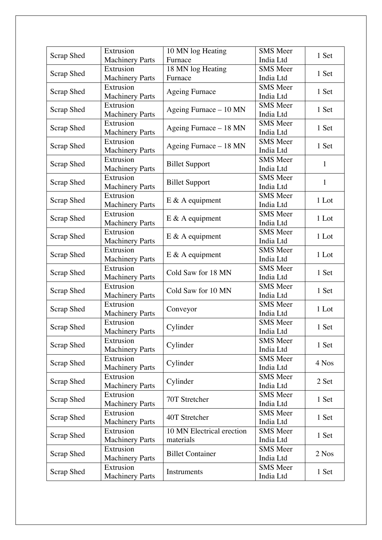|                   | Extrusion              | 10 MN log Heating         | <b>SMS</b> Meer |              |
|-------------------|------------------------|---------------------------|-----------------|--------------|
| <b>Scrap Shed</b> | <b>Machinery Parts</b> | Furnace                   | India Ltd       | 1 Set        |
|                   | Extrusion              | 18 MN log Heating         | <b>SMS</b> Meer |              |
| Scrap Shed        | <b>Machinery Parts</b> | Furnace                   | India Ltd       | 1 Set        |
|                   | Extrusion              |                           | <b>SMS</b> Meer |              |
| Scrap Shed        | <b>Machinery Parts</b> | <b>Ageing Furnace</b>     | India Ltd       | 1 Set        |
|                   | Extrusion              |                           | <b>SMS</b> Meer |              |
| Scrap Shed        | <b>Machinery Parts</b> | Ageing Furnace - 10 MN    | India Ltd       | 1 Set        |
|                   | Extrusion              |                           | <b>SMS</b> Meer |              |
| Scrap Shed        | <b>Machinery Parts</b> | Ageing Furnace $-18$ MN   | India Ltd       | 1 Set        |
|                   | Extrusion              |                           | <b>SMS</b> Meer |              |
| Scrap Shed        | <b>Machinery Parts</b> | Ageing Furnace - 18 MN    | India Ltd       | 1 Set        |
|                   | Extrusion              |                           | <b>SMS</b> Meer |              |
| Scrap Shed        | <b>Machinery Parts</b> | <b>Billet Support</b>     | India Ltd       | 1            |
|                   | Extrusion              |                           | <b>SMS</b> Meer |              |
| Scrap Shed        | <b>Machinery Parts</b> | <b>Billet Support</b>     | India Ltd       | $\mathbf{1}$ |
|                   | Extrusion              |                           | <b>SMS</b> Meer |              |
| Scrap Shed        | <b>Machinery Parts</b> | $E \& A$ equipment        | India Ltd       | 1 Lot        |
|                   | Extrusion              |                           | <b>SMS</b> Meer |              |
| Scrap Shed        | <b>Machinery Parts</b> | $E \& A$ equipment        | India Ltd       | 1 Lot        |
|                   | Extrusion              |                           | <b>SMS</b> Meer |              |
| Scrap Shed        | <b>Machinery Parts</b> | $E \& A$ equipment        | India Ltd       | 1 Lot        |
|                   | Extrusion              |                           | <b>SMS</b> Meer |              |
| Scrap Shed        | <b>Machinery Parts</b> | $E \& A$ equipment        | India Ltd       | 1 Lot        |
|                   | Extrusion              |                           | <b>SMS</b> Meer |              |
| Scrap Shed        | <b>Machinery Parts</b> | Cold Saw for 18 MN        | India Ltd       | 1 Set        |
|                   | Extrusion              |                           | <b>SMS</b> Meer |              |
| Scrap Shed        | <b>Machinery Parts</b> | Cold Saw for 10 MN        | India Ltd       | 1 Set        |
|                   | Extrusion              |                           | <b>SMS</b> Meer |              |
| Scrap Shed        | <b>Machinery Parts</b> | Conveyor                  | India Ltd       | 1 Lot        |
|                   | Extrusion              |                           | <b>SMS</b> Meer |              |
| <b>Scrap Shed</b> | <b>Machinery Parts</b> | Cylinder                  | India Ltd       | 1 Set        |
|                   | Extrusion              |                           | <b>SMS</b> Meer |              |
| Scrap Shed        | <b>Machinery Parts</b> | Cylinder                  | India Ltd       | 1 Set        |
|                   | Extrusion              |                           | <b>SMS</b> Meer |              |
| Scrap Shed        | <b>Machinery Parts</b> | Cylinder                  | India Ltd       | 4 Nos        |
|                   | Extrusion              |                           | <b>SMS</b> Meer | 2 Set        |
| Scrap Shed        | <b>Machinery Parts</b> | Cylinder                  | India Ltd       |              |
|                   | Extrusion              | 70T Stretcher             | <b>SMS</b> Meer |              |
| Scrap Shed        | <b>Machinery Parts</b> |                           | India Ltd       | 1 Set        |
|                   | Extrusion              | 40T Stretcher             | <b>SMS</b> Meer | 1 Set        |
| Scrap Shed        | <b>Machinery Parts</b> |                           | India Ltd       |              |
| Scrap Shed        | Extrusion              | 10 MN Electrical erection | <b>SMS</b> Meer | 1 Set        |
|                   | <b>Machinery Parts</b> | materials                 | India Ltd       |              |
| Scrap Shed        | Extrusion              | <b>Billet Container</b>   | <b>SMS</b> Meer | 2 Nos        |
|                   | <b>Machinery Parts</b> |                           | India Ltd       |              |
| <b>Scrap Shed</b> | Extrusion              | Instruments               | <b>SMS</b> Meer | 1 Set        |
|                   | <b>Machinery Parts</b> |                           | India Ltd       |              |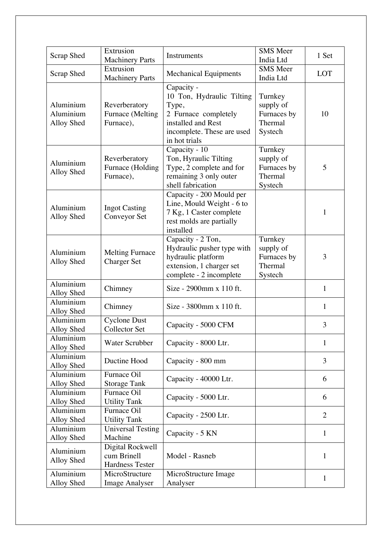| Scrap Shed                           | Extrusion<br><b>Machinery Parts</b>                       | Instruments                                                                                                                                   | <b>SMS</b> Meer<br>India Ltd                              | 1 Set          |
|--------------------------------------|-----------------------------------------------------------|-----------------------------------------------------------------------------------------------------------------------------------------------|-----------------------------------------------------------|----------------|
| Scrap Shed                           | Extrusion<br><b>Machinery Parts</b>                       | <b>Mechanical Equipments</b>                                                                                                                  | <b>SMS</b> Meer<br>India Ltd                              | LOT            |
| Aluminium<br>Aluminium<br>Alloy Shed | Reverberatory<br>Furnace (Melting<br>Furnace),            | Capacity -<br>10 Ton, Hydraulic Tilting<br>Type,<br>2 Furnace completely<br>installed and Rest<br>incomplete. These are used<br>in hot trials | Turnkey<br>supply of<br>Furnaces by<br>Thermal<br>Systech | 10             |
| Aluminium<br>Alloy Shed              | Reverberatory<br>Furnace (Holding<br>Furnace),            | Capacity - 10<br>Ton, Hyraulic Tilting<br>Type, 2 complete and for<br>remaining 3 only outer<br>shell fabrication                             | Turnkey<br>supply of<br>Furnaces by<br>Thermal<br>Systech | 5              |
| Aluminium<br>Alloy Shed              | <b>Ingot Casting</b><br>Conveyor Set                      | Capacity - 200 Mould per<br>Line, Mould Weight - 6 to<br>7 Kg, 1 Caster complete<br>rest molds are partially<br>installed                     |                                                           | 1              |
| Aluminium<br>Alloy Shed              | <b>Melting Furnace</b><br><b>Charger Set</b>              | Capacity - 2 Ton,<br>Hydraulic pusher type with<br>hydraulic platform<br>extension, 1 charger set<br>complete - 2 incomplete                  | Turnkey<br>supply of<br>Furnaces by<br>Thermal<br>Systech | 3              |
| Aluminium<br>Alloy Shed              | Chimney                                                   | Size - 2900mm x 110 ft.                                                                                                                       |                                                           | $\mathbf{1}$   |
| Aluminium<br>Alloy Shed              | Chimney                                                   | Size - 3800mm x 110 ft.                                                                                                                       |                                                           | $\mathbf{1}$   |
| Aluminium<br>Alloy Shed              | <b>Cyclone Dust</b><br>Collector Set                      | Capacity - 5000 CFM                                                                                                                           |                                                           | 3              |
| Aluminium<br>Alloy Shed              | <b>Water Scrubber</b>                                     | Capacity - 8000 Ltr.                                                                                                                          |                                                           | $\mathbf{1}$   |
| Aluminium<br>Alloy Shed              | Ductine Hood                                              | Capacity - 800 mm                                                                                                                             |                                                           | 3              |
| Aluminium<br>Alloy Shed              | Furnace Oil<br><b>Storage Tank</b>                        | Capacity - 40000 Ltr.                                                                                                                         |                                                           | 6              |
| Aluminium<br>Alloy Shed              | Furnace Oil<br><b>Utility Tank</b>                        | Capacity - 5000 Ltr.                                                                                                                          |                                                           | 6              |
| Aluminium<br>Alloy Shed              | Furnace Oil<br><b>Utility Tank</b>                        | Capacity - 2500 Ltr.                                                                                                                          |                                                           | $\overline{2}$ |
| Aluminium<br>Alloy Shed              | <b>Universal Testing</b><br>Machine                       | Capacity - 5 KN                                                                                                                               |                                                           | $\mathbf{1}$   |
| Aluminium<br>Alloy Shed              | Digital Rockwell<br>cum Brinell<br><b>Hardness Tester</b> | Model - Rasneb                                                                                                                                |                                                           | $\mathbf{1}$   |
| Aluminium<br>Alloy Shed              | MicroStructure<br><b>Image Analyser</b>                   | MicroStructure Image<br>Analyser                                                                                                              |                                                           | $\mathbf{1}$   |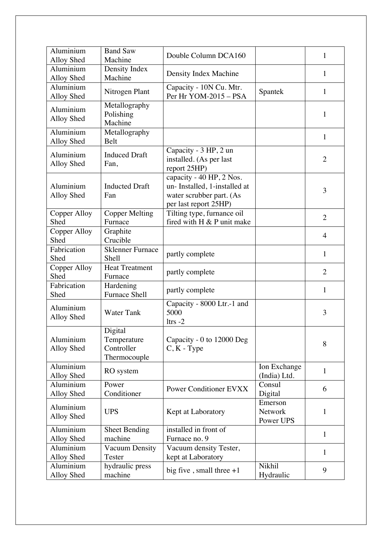| Aluminium<br>Alloy Shed | <b>Band Saw</b><br>Machine                           | Double Column DCA160                                                                                          |                                 | 1              |
|-------------------------|------------------------------------------------------|---------------------------------------------------------------------------------------------------------------|---------------------------------|----------------|
| Aluminium<br>Alloy Shed | Density Index<br>Machine                             | Density Index Machine                                                                                         |                                 | $\mathbf{1}$   |
| Aluminium<br>Alloy Shed | Nitrogen Plant                                       | Capacity - 10N Cu. Mtr.<br>Per Hr YOM-2015 - PSA                                                              | Spantek                         | $\mathbf{1}$   |
| Aluminium<br>Alloy Shed | Metallography<br>Polishing<br>Machine                |                                                                                                               |                                 | $\mathbf{1}$   |
| Aluminium<br>Alloy Shed | Metallography<br>Belt                                |                                                                                                               |                                 | $\mathbf{1}$   |
| Aluminium<br>Alloy Shed | <b>Induced Draft</b><br>Fan,                         | Capacity - 3 HP, 2 un<br>installed. (As per last<br>report 25HP)                                              |                                 | $\overline{2}$ |
| Aluminium<br>Alloy Shed | <b>Inducted Draft</b><br>Fan                         | capacity - 40 HP, 2 Nos.<br>un-Installed, 1-installed at<br>water scrubber part. (As<br>per last report 25HP) |                                 | 3              |
| Copper Alloy<br>Shed    | <b>Copper Melting</b><br>Furnace                     | Tilting type, furnance oil<br>fired with H & P unit make                                                      |                                 | $\overline{2}$ |
| Copper Alloy<br>Shed    | Graphite<br>Crucible                                 |                                                                                                               |                                 | $\overline{4}$ |
| Fabrication<br>Shed     | <b>Sklenner Furnace</b><br>Shell                     | partly complete                                                                                               |                                 | $\mathbf{1}$   |
| Copper Alloy<br>Shed    | <b>Heat Treatment</b><br>Furnace                     | partly complete                                                                                               |                                 | $\overline{2}$ |
| Fabrication<br>Shed     | Hardening<br><b>Furnace Shell</b>                    | partly complete                                                                                               |                                 | $\mathbf{1}$   |
| Aluminium<br>Alloy Shed | <b>Water Tank</b>                                    | Capacity - 8000 Ltr.-1 and<br>5000<br>$l$ trs $-2$                                                            |                                 | 3              |
| Aluminium<br>Alloy Shed | Digital<br>Temperature<br>Controller<br>Thermocouple | Capacity - 0 to 12000 Deg<br>$C, K$ - Type                                                                    |                                 | 8              |
| Aluminium<br>Alloy Shed | RO system                                            |                                                                                                               | Ion Exchange<br>(India) Ltd.    | $\mathbf{1}$   |
| Aluminium<br>Alloy Shed | Power<br>Conditioner                                 | <b>Power Conditioner EVXX</b>                                                                                 | Consul<br>Digital               | 6              |
| Aluminium<br>Alloy Shed | <b>UPS</b>                                           | Kept at Laboratory                                                                                            | Emerson<br>Network<br>Power UPS | 1              |
| Aluminium<br>Alloy Shed | <b>Sheet Bending</b><br>machine                      | installed in front of<br>Furnace no. 9                                                                        |                                 | $\mathbf{1}$   |
| Aluminium<br>Alloy Shed | <b>Vacuum Density</b><br>Tester                      | Vacuum density Tester,<br>kept at Laboratory                                                                  |                                 | 1              |
| Aluminium<br>Alloy Shed | hydraulic press<br>machine                           | big five, small three $+1$                                                                                    | Nikhil<br>Hydraulic             | 9              |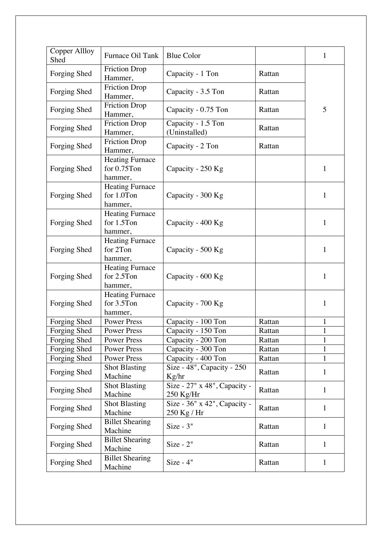| <b>Copper Allloy</b><br>Shed | Furnace Oil Tank                                 | <b>Blue Color</b>                                |        | $\mathbf{1}$ |
|------------------------------|--------------------------------------------------|--------------------------------------------------|--------|--------------|
| Forging Shed                 | <b>Friction Drop</b><br>Hammer,                  | Capacity - 1 Ton                                 | Rattan |              |
| Forging Shed                 | <b>Friction Drop</b><br>Hammer,                  | Capacity - 3.5 Ton                               | Rattan |              |
| Forging Shed                 | <b>Friction Drop</b><br>Hammer,                  | Capacity - 0.75 Ton                              | Rattan | 5            |
| Forging Shed                 | <b>Friction Drop</b><br>Hammer,                  | Capacity - 1.5 Ton<br>(Uninstalled)              | Rattan |              |
| Forging Shed                 | <b>Friction Drop</b><br>Hammer,                  | Capacity - 2 Ton                                 | Rattan |              |
| Forging Shed                 | <b>Heating Furnace</b><br>for 0.75Ton<br>hammer, | Capacity - 250 Kg                                |        | $\mathbf{1}$ |
| Forging Shed                 | <b>Heating Furnace</b><br>for 1.0Ton<br>hammer,  | Capacity - 300 Kg                                |        | $\mathbf{1}$ |
| Forging Shed                 | <b>Heating Furnace</b><br>for 1.5Ton<br>hammer,  | Capacity - 400 Kg                                |        | 1            |
| Forging Shed                 | Heating Furnace<br>for 2Ton<br>hammer,           | Capacity - 500 Kg                                |        | $\mathbf{1}$ |
| Forging Shed                 | <b>Heating Furnace</b><br>for 2.5Ton<br>hammer,  | Capacity - 600 Kg                                |        | 1            |
| Forging Shed                 | <b>Heating Furnace</b><br>for 3.5Ton<br>hammer,  | Capacity - 700 Kg                                |        | $\mathbf{1}$ |
| Forging Shed                 | <b>Power Press</b>                               | Capacity - 100 Ton                               | Rattan | 1            |
| Forging Shed                 | <b>Power Press</b>                               | Capacity - 150 Ton                               | Rattan | 1<br>Ŧ,      |
| Forging Shed                 | <b>Power Press</b>                               | Capacity - 200 Ton                               | Rattan | 1            |
| Forging Shed                 | Power Press                                      | Capacity - 300 Ton                               | Rattan | 1            |
| Forging Shed                 | Power Press                                      | Capacity - 400 Ton                               | Rattan | $\mathbf{1}$ |
| Forging Shed                 | <b>Shot Blasting</b><br>Machine                  | Size - $48$ ", Capacity - $250$<br>Kg/hr         | Rattan | $\mathbf{1}$ |
| Forging Shed                 | <b>Shot Blasting</b><br>Machine                  | Size - 27" x 48", Capacity -<br>$250$ Kg/Hr      | Rattan | $\mathbf{1}$ |
| Forging Shed                 | <b>Shot Blasting</b><br>Machine                  | Size - $36"$ x $42"$ , Capacity -<br>250 Kg / Hr | Rattan | $\mathbf{1}$ |
| Forging Shed                 | <b>Billet Shearing</b><br>Machine                | $Size - 3"$                                      | Rattan | $\mathbf{1}$ |
| Forging Shed                 | <b>Billet Shearing</b><br>Machine                | $Size - 2"$                                      | Rattan | $\mathbf{1}$ |
| Forging Shed                 | <b>Billet Shearing</b><br>Machine                | $Size - 4"$                                      | Rattan | $\mathbf{1}$ |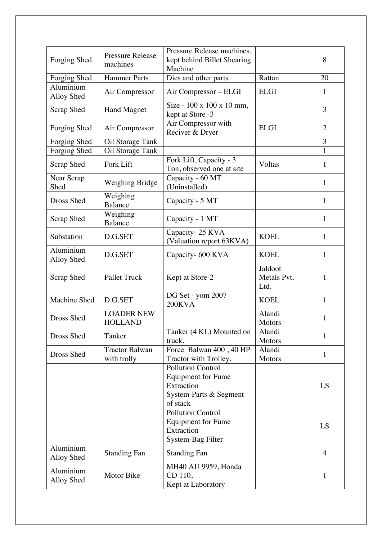| Forging Shed            | <b>Pressure Release</b><br>machines  | Pressure Release machines,<br>kept behind Billet Shearing<br>Machine                                      |                                | 8              |
|-------------------------|--------------------------------------|-----------------------------------------------------------------------------------------------------------|--------------------------------|----------------|
| Forging Shed            | <b>Hammer Parts</b>                  | Dies and other parts                                                                                      | Rattan                         | 20             |
| Aluminium<br>Alloy Shed | Air Compressor                       | Air Compressor – ELGI                                                                                     | <b>ELGI</b>                    | $\mathbf{1}$   |
| Scrap Shed              | <b>Hand Magnet</b>                   | Size - 100 x 100 x 10 mm,<br>kept at Store -3                                                             |                                | 3              |
| Forging Shed            | Air Compressor                       | Air Compressor with<br>Reciver & Dryer                                                                    | <b>ELGI</b>                    | $\overline{2}$ |
| Forging Shed            | Oil Storage Tank                     |                                                                                                           |                                | 3              |
| Forging Shed            | Oil Storage Tank                     |                                                                                                           |                                | $\mathbf{1}$   |
| Scrap Shed              | Fork Lift                            | Fork Lift, Capacity - 3<br>Ton, observed one at site                                                      | Voltas                         | 1              |
| Near Scrap<br>Shed      | Weighing Bridge                      | Capacity - 60 MT<br>(Uninstalled)                                                                         |                                | $\mathbf{1}$   |
| Dross Shed              | Weighing<br><b>Balance</b>           | Capacity - 5 MT                                                                                           |                                | 1              |
| Scrap Shed              | Weighing<br>Balance                  | Capacity - 1 MT                                                                                           |                                | $\mathbf{1}$   |
| Substation              | D.G.SET                              | Capacity-25 KVA<br>(Valuation report 63KVA)                                                               | <b>KOEL</b>                    | $\mathbf{1}$   |
| Aluminium<br>Alloy Shed | D.G.SET                              | Capacity- 600 KVA                                                                                         | <b>KOEL</b>                    | $\mathbf{1}$   |
| Scrap Shed              | <b>Pallet Truck</b>                  | Kept at Store-2                                                                                           | Jaldoot<br>Metals Pvt.<br>Ltd. | 1              |
| Machine Shed            | D.G.SET                              | DG Set - yom 2007<br>200KVA                                                                               | <b>KOEL</b>                    | $\mathbf{1}$   |
| Dross Shed              | <b>LOADER NEW</b><br><b>HOLLAND</b>  |                                                                                                           | Alandi<br><b>Motors</b>        | $\mathbf{1}$   |
| Dross Shed              | Tanker                               | Tanker (4 KL) Mounted on<br>truck,                                                                        | Alandi<br><b>Motors</b>        | 1              |
| Dross Shed              | <b>Tractor Balwan</b><br>with trolly | Force Balwan 400, 40 HP<br>Tractor with Trolley.                                                          | Alandi<br><b>Motors</b>        | $\mathbf{1}$   |
|                         |                                      | <b>Pollution Control</b><br><b>Equipment</b> for Fume<br>Extraction<br>System-Parts & Segment<br>of stack |                                | LS             |
|                         |                                      | <b>Pollution Control</b><br><b>Equipment for Fume</b><br>Extraction<br>System-Bag Filter                  |                                | LS             |
| Aluminium<br>Alloy Shed | <b>Standing Fan</b>                  | <b>Standing Fan</b>                                                                                       |                                | $\overline{4}$ |
| Aluminium<br>Alloy Shed | Motor Bike                           | MH40 AU 9959, Honda<br>CD 110,<br>Kept at Laboratory                                                      |                                | $\mathbf{1}$   |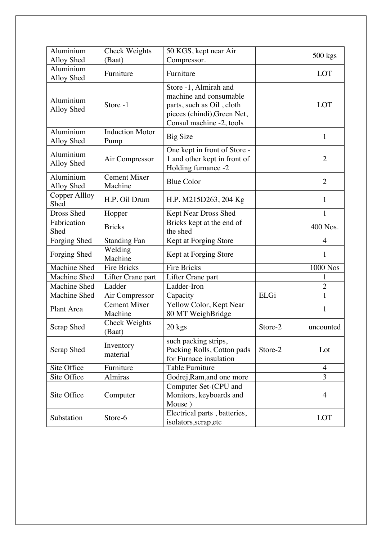| Aluminium<br>Alloy Shed | Check Weights<br>(Baat)        | 50 KGS, kept near Air<br>Compressor.                                                                                                    |         | 500 kgs        |
|-------------------------|--------------------------------|-----------------------------------------------------------------------------------------------------------------------------------------|---------|----------------|
| Aluminium<br>Alloy Shed | Furniture                      | Furniture                                                                                                                               |         | <b>LOT</b>     |
| Aluminium<br>Alloy Shed | Store -1                       | Store -1, Almirah and<br>machine and consumable<br>parts, such as Oil, cloth<br>pieces (chindi), Green Net,<br>Consul machine -2, tools |         | LOT            |
| Aluminium<br>Alloy Shed | <b>Induction Motor</b><br>Pump | <b>Big Size</b>                                                                                                                         |         | $\mathbf{1}$   |
| Aluminium<br>Alloy Shed | Air Compressor                 | One kept in front of Store -<br>1 and other kept in front of<br>Holding furnance -2                                                     |         | $\overline{2}$ |
| Aluminium<br>Alloy Shed | <b>Cement Mixer</b><br>Machine | <b>Blue Color</b>                                                                                                                       |         | $\overline{2}$ |
| Copper Allloy<br>Shed   | H.P. Oil Drum                  | H.P. M215D263, 204 Kg                                                                                                                   |         | $\mathbf{1}$   |
| Dross Shed              | Hopper                         | Kept Near Dross Shed                                                                                                                    |         | $\mathbf{1}$   |
| Fabrication<br>Shed     | <b>Bricks</b>                  | Bricks kept at the end of<br>the shed                                                                                                   |         | 400 Nos.       |
| Forging Shed            | <b>Standing Fan</b>            | Kept at Forging Store                                                                                                                   |         | $\overline{4}$ |
| Forging Shed            | Welding<br>Machine             | Kept at Forging Store                                                                                                                   |         | $\mathbf{1}$   |
| <b>Machine Shed</b>     | <b>Fire Bricks</b>             | <b>Fire Bricks</b>                                                                                                                      |         | 1000 Nos       |
| Machine Shed            | Lifter Crane part              | Lifter Crane part                                                                                                                       |         |                |
| Machine Shed            | Ladder                         | Ladder-Iron                                                                                                                             |         | $\overline{2}$ |
| Machine Shed            | Air Compressor                 | Capacity                                                                                                                                | ELGi    | $\mathbf{1}$   |
| Plant Area              | <b>Cement Mixer</b><br>Machine | Yellow Color, Kept Near<br>80 MT WeighBridge                                                                                            |         | $\mathbf{1}$   |
| <b>Scrap Shed</b>       | <b>Check Weights</b><br>(Baat) | 20 kgs                                                                                                                                  | Store-2 | uncounted      |
| <b>Scrap Shed</b>       | Inventory<br>material          | such packing strips,<br>Packing Rolls, Cotton pads<br>for Furnace insulation                                                            | Store-2 | Lot            |
| Site Office             | Furniture                      | <b>Table Furniture</b>                                                                                                                  |         | 4              |
| Site Office             | Almiras                        | Godrej, Ram, and one more                                                                                                               |         | 3              |
| Site Office             | Computer                       | Computer Set-(CPU and<br>Monitors, keyboards and<br>Mouse)                                                                              |         | $\overline{4}$ |
| Substation              | Store-6                        | Electrical parts, batteries,<br>isolators, scrap, etc                                                                                   |         | <b>LOT</b>     |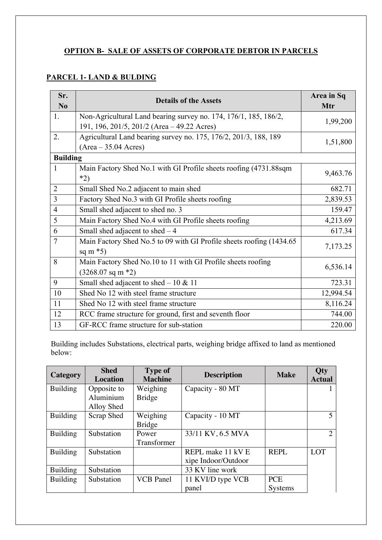## **OPTION B- SALE OF ASSETS OF CORPORATE DEBTOR IN PARCELS**

## **PARCEL 1- LAND & BULDING**

| Sr.<br>$\mathbf{N}\mathbf{0}$ | <b>Details of the Assets</b>                                                | Area in Sq<br>Mtr |  |  |  |
|-------------------------------|-----------------------------------------------------------------------------|-------------------|--|--|--|
| 1.                            | Non-Agricultural Land bearing survey no. 174, 176/1, 185, 186/2,            | 1,99,200          |  |  |  |
|                               | 191, 196, 201/5, 201/2 (Area - 49.22 Acres)                                 |                   |  |  |  |
| 2.                            | Agricultural Land bearing survey no. 175, 176/2, 201/3, 188, 189            | 1,51,800          |  |  |  |
|                               | $(Area - 35.04 Acres)$                                                      |                   |  |  |  |
| <b>Building</b>               |                                                                             |                   |  |  |  |
| $\mathbf{1}$                  | Main Factory Shed No.1 with GI Profile sheets roofing (4731.88sqm)<br>$*2)$ | 9,463.76          |  |  |  |
| $\overline{2}$                | Small Shed No.2 adjacent to main shed                                       | 682.71            |  |  |  |
| $\overline{3}$                | Factory Shed No.3 with GI Profile sheets roofing                            | 2,839.53          |  |  |  |
| $\overline{4}$                | Small shed adjacent to shed no. 3                                           | 159.47            |  |  |  |
| 5                             | Main Factory Shed No.4 with GI Profile sheets roofing                       | 4,213.69          |  |  |  |
| 6                             | Small shed adjacent to shed $-4$                                            | 617.34            |  |  |  |
| $\overline{7}$                | Main Factory Shed No.5 to 09 with GI Profile sheets roofing (1434.65)       | 7,173.25          |  |  |  |
|                               | sq m $*5$ )                                                                 |                   |  |  |  |
| 8                             | Main Factory Shed No.10 to 11 with GI Profile sheets roofing                | 6,536.14          |  |  |  |
|                               | $(3268.07 \text{ sq m} \cdot 2)$                                            |                   |  |  |  |
| 9                             | Small shed adjacent to shed $-10 \& 11$                                     | 723.31            |  |  |  |
| 10                            | Shed No 12 with steel frame structure                                       | 12,994.54         |  |  |  |
| 11                            | Shed No 12 with steel frame structure                                       | 8,116.24          |  |  |  |
| 12                            | RCC frame structure for ground, first and seventh floor                     | 744.00            |  |  |  |
| 13                            | GF-RCC frame structure for sub-station                                      | 220.00            |  |  |  |

Building includes Substations, electrical parts, weighing bridge affixed to land as mentioned below:

| Category        | <b>Shed</b><br><b>Location</b> | <b>Type of</b><br><b>Machine</b> | <b>Description</b>  | <b>Make</b>    | <b>Qty</b><br><b>Actual</b> |
|-----------------|--------------------------------|----------------------------------|---------------------|----------------|-----------------------------|
| <b>Building</b> | Opposite to                    | Weighing                         | Capacity - 80 MT    |                |                             |
|                 | Aluminium                      | <b>Bridge</b>                    |                     |                |                             |
|                 | Alloy Shed                     |                                  |                     |                |                             |
| <b>Building</b> | Scrap Shed                     | Weighing                         | Capacity - 10 MT    |                | 5                           |
|                 |                                | <b>Bridge</b>                    |                     |                |                             |
| <b>Building</b> | Substation                     | Power                            | 33/11 KV, 6.5 MVA   |                | 2                           |
|                 |                                | Transformer                      |                     |                |                             |
| <b>Building</b> | Substation                     |                                  | REPL make 11 kV E   | <b>REPL</b>    | <b>LOT</b>                  |
|                 |                                |                                  | xipe Indoor/Outdoor |                |                             |
| <b>Building</b> | Substation                     |                                  | 33 KV line work     |                |                             |
| <b>Building</b> | Substation                     | <b>VCB</b> Panel                 | 11 KVI/D type VCB   | <b>PCE</b>     |                             |
|                 |                                |                                  | panel               | <b>Systems</b> |                             |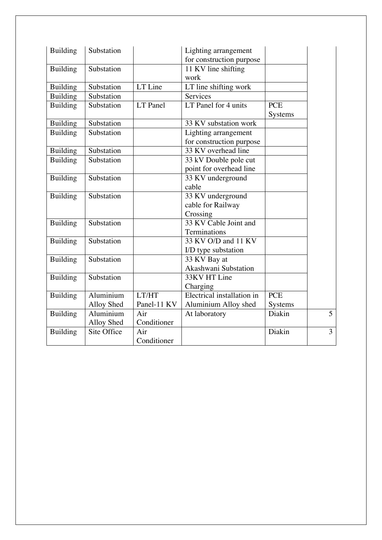| <b>Building</b> | Substation  |             | Lighting arrangement<br>for construction purpose |                |                |
|-----------------|-------------|-------------|--------------------------------------------------|----------------|----------------|
| <b>Building</b> | Substation  |             | 11 KV line shifting                              |                |                |
|                 |             |             | work                                             |                |                |
| <b>Building</b> | Substation  | LT Line     | LT line shifting work                            |                |                |
| <b>Building</b> | Substation  |             | Services                                         |                |                |
| <b>Building</b> | Substation  | $LT$ Panel  | LT Panel for $4 \text{ units}$                   | <b>PCE</b>     |                |
|                 |             |             |                                                  | <b>Systems</b> |                |
| <b>Building</b> | Substation  |             | 33 KV substation work                            |                |                |
| <b>Building</b> | Substation  |             | Lighting arrangement                             |                |                |
|                 |             |             | for construction purpose                         |                |                |
| <b>Building</b> | Substation  |             | 33 KV overhead line                              |                |                |
| <b>Building</b> | Substation  |             | 33 kV Double pole cut                            |                |                |
|                 |             |             | point for overhead line                          |                |                |
| <b>Building</b> | Substation  |             | 33 KV underground                                |                |                |
|                 |             |             | cable                                            |                |                |
| <b>Building</b> | Substation  |             | 33 KV underground                                |                |                |
|                 |             |             | cable for Railway                                |                |                |
|                 |             |             | Crossing                                         |                |                |
| <b>Building</b> | Substation  |             | 33 KV Cable Joint and                            |                |                |
|                 |             |             | Terminations                                     |                |                |
| <b>Building</b> | Substation  |             | 33 KV O/D and 11 KV                              |                |                |
|                 |             |             | I/D type substation                              |                |                |
| <b>Building</b> | Substation  |             | 33 KV Bay at                                     |                |                |
|                 |             |             | Akashwani Substation                             |                |                |
| <b>Building</b> | Substation  |             | 33KV HT Line                                     |                |                |
|                 |             |             | Charging                                         |                |                |
| <b>Building</b> | Aluminium   | LT/HT       | Electrical installation in                       | <b>PCE</b>     |                |
|                 | Alloy Shed  | Panel-11 KV | Aluminium Alloy shed                             | Systems        |                |
| <b>Building</b> | Aluminium   | Air         | At laboratory                                    | Diakin         | 5              |
|                 | Alloy Shed  | Conditioner |                                                  |                |                |
| <b>Building</b> | Site Office | Air         |                                                  | Diakin         | $\overline{3}$ |
|                 |             | Conditioner |                                                  |                |                |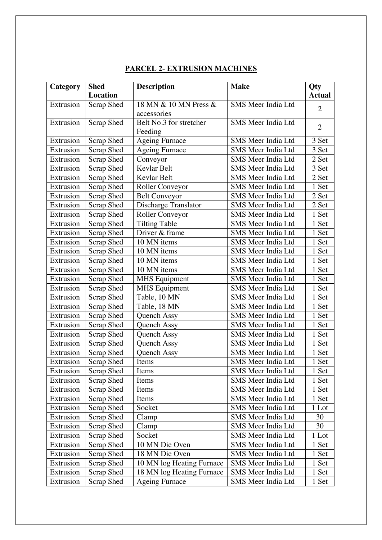| Category  | <b>Shed</b>       | <b>Description</b>        | <b>Make</b>               | Qty            |
|-----------|-------------------|---------------------------|---------------------------|----------------|
|           | <b>Location</b>   |                           |                           | <b>Actual</b>  |
| Extrusion | Scrap Shed        | 18 MN & 10 MN Press &     | <b>SMS Meer India Ltd</b> | $\overline{2}$ |
|           |                   | accessories               |                           |                |
| Extrusion | Scrap Shed        | Belt No.3 for stretcher   | SMS Meer India Ltd        | $\overline{2}$ |
|           |                   | Feeding                   |                           |                |
| Extrusion | <b>Scrap Shed</b> | <b>Ageing Furnace</b>     | SMS Meer India Ltd        | 3 Set          |
| Extrusion | <b>Scrap Shed</b> | <b>Ageing Furnace</b>     | <b>SMS Meer India Ltd</b> | 3 Set          |
| Extrusion | Scrap Shed        | Conveyor                  | SMS Meer India Ltd        | 2 Set          |
| Extrusion | Scrap Shed        | Kevlar Belt               | <b>SMS Meer India Ltd</b> | 3 Set          |
| Extrusion | <b>Scrap Shed</b> | Kevlar Belt               | SMS Meer India Ltd        | 2 Set          |
| Extrusion | <b>Scrap Shed</b> | Roller Conveyor           | SMS Meer India Ltd        | 1 Set          |
| Extrusion | Scrap Shed        | <b>Belt Conveyor</b>      | SMS Meer India Ltd        | 2 Set          |
| Extrusion | Scrap Shed        | Discharge Translator      | SMS Meer India Ltd        | 2 Set          |
| Extrusion | Scrap Shed        | Roller Conveyor           | <b>SMS Meer India Ltd</b> | 1 Set          |
| Extrusion | Scrap Shed        | <b>Tilting Table</b>      | SMS Meer India Ltd        | 1 Set          |
| Extrusion | <b>Scrap Shed</b> | Driver & frame            | SMS Meer India Ltd        | 1 Set          |
| Extrusion | Scrap Shed        | 10 MN items               | SMS Meer India Ltd        | 1 Set          |
| Extrusion | <b>Scrap Shed</b> | 10 MN items               | SMS Meer India Ltd        | 1 Set          |
| Extrusion | Scrap Shed        | 10 MN items               | <b>SMS Meer India Ltd</b> | 1 Set          |
| Extrusion | Scrap Shed        | 10 MN items               | SMS Meer India Ltd        | 1 Set          |
| Extrusion | Scrap Shed        | <b>MHS</b> Equipment      | SMS Meer India Ltd        | 1 Set          |
| Extrusion | Scrap Shed        | <b>MHS</b> Equipment      | SMS Meer India Ltd        | 1 Set          |
| Extrusion | <b>Scrap Shed</b> | Table, 10 MN              | SMS Meer India Ltd        | 1 Set          |
| Extrusion | Scrap Shed        | Table, 18 MN              | SMS Meer India Ltd        | 1 Set          |
| Extrusion | Scrap Shed        | Quench Assy               | SMS Meer India Ltd        | 1 Set          |
| Extrusion | Scrap Shed        | Quench Assy               | SMS Meer India Ltd        | 1 Set          |
| Extrusion | Scrap Shed        | Quench Assy               | <b>SMS Meer India Ltd</b> | 1 Set          |
| Extrusion | Scrap Shed        | Quench Assy               | SMS Meer India Ltd        | 1 Set          |
| Extrusion | Scrap Shed        | Quench Assy               | SMS Meer India Ltd        | 1 Set          |
| Extrusion | <b>Scrap Shed</b> | Items                     | SMS Meer India Ltd        | 1 Set          |
| Extrusion | Scrap Shed        | Items                     | SMS Meer India Ltd        | 1 Set          |
| Extrusion | Scrap Shed        | Items                     | SMS Meer India Ltd        | 1 Set          |
| Extrusion | Scrap Shed        | Items                     | SMS Meer India Ltd        | 1 Set          |
| Extrusion | Scrap Shed        | Items                     | SMS Meer India Ltd        | 1 Set          |
| Extrusion | Scrap Shed        | Socket                    | SMS Meer India Ltd        | 1 Lot          |
| Extrusion | Scrap Shed        | Clamp                     | SMS Meer India Ltd        | 30             |
| Extrusion | Scrap Shed        | Clamp                     | SMS Meer India Ltd        | 30             |
| Extrusion | Scrap Shed        | Socket                    | SMS Meer India Ltd        | 1 Lot          |
| Extrusion | Scrap Shed        | 10 MN Die Oven            | SMS Meer India Ltd        | 1 Set          |
| Extrusion | Scrap Shed        | 18 MN Die Oven            | SMS Meer India Ltd        | 1 Set          |
| Extrusion | Scrap Shed        | 10 MN log Heating Furnace | SMS Meer India Ltd        | 1 Set          |
| Extrusion | Scrap Shed        | 18 MN log Heating Furnace | SMS Meer India Ltd        | 1 Set          |
| Extrusion | Scrap Shed        | <b>Ageing Furnace</b>     | SMS Meer India Ltd        | 1 Set          |

## **PARCEL 2- EXTRUSION MACHINES**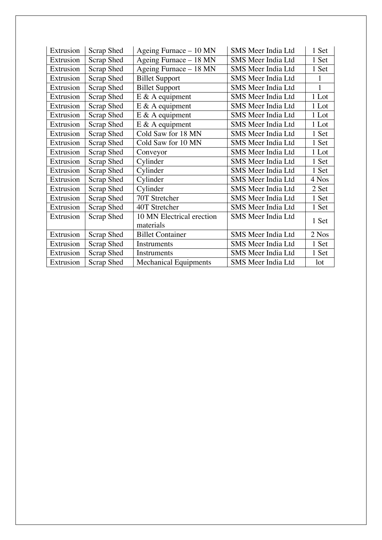| Extrusion | Scrap Shed        | Ageing Furnace - 10 MN       | SMS Meer India Ltd        | 1 Set        |
|-----------|-------------------|------------------------------|---------------------------|--------------|
| Extrusion | Scrap Shed        | Ageing Furnace - 18 MN       | SMS Meer India Ltd        | 1 Set        |
| Extrusion | Scrap Shed        | Ageing Furnace - 18 MN       | SMS Meer India Ltd        | 1 Set        |
| Extrusion | Scrap Shed        | <b>Billet Support</b>        | SMS Meer India Ltd        |              |
| Extrusion | Scrap Shed        | <b>Billet Support</b>        | SMS Meer India Ltd        | 1            |
| Extrusion | Scrap Shed        | $E \& A$ equipment           | SMS Meer India Ltd        | 1 Lot        |
| Extrusion | Scrap Shed        | $E \& A$ equipment           | SMS Meer India Ltd        | 1 Lot        |
| Extrusion | Scrap Shed        | $E \& A$ equipment           | SMS Meer India Ltd        | 1 Lot        |
| Extrusion | Scrap Shed        | $E \& A$ equipment           | SMS Meer India Ltd        | 1 Lot        |
| Extrusion | Scrap Shed        | Cold Saw for 18 MN           | SMS Meer India Ltd        | 1 Set        |
| Extrusion | Scrap Shed        | Cold Saw for 10 MN           | SMS Meer India Ltd        | 1 Set        |
| Extrusion | Scrap Shed        | Conveyor                     | SMS Meer India Ltd        | 1 Lot        |
| Extrusion | Scrap Shed        | Cylinder                     | SMS Meer India Ltd        | 1 Set        |
| Extrusion | Scrap Shed        | Cylinder                     | SMS Meer India Ltd        | 1 Set        |
| Extrusion | Scrap Shed        | Cylinder                     | SMS Meer India Ltd        | 4 Nos        |
| Extrusion | Scrap Shed        | Cylinder                     | SMS Meer India Ltd        | 2 Set        |
| Extrusion | Scrap Shed        | 70T Stretcher                | SMS Meer India Ltd        | 1 Set        |
| Extrusion | Scrap Shed        | 40T Stretcher                | SMS Meer India Ltd        | 1 Set        |
| Extrusion | Scrap Shed        | 10 MN Electrical erection    | SMS Meer India Ltd        | 1 Set        |
|           |                   | materials                    |                           |              |
| Extrusion | <b>Scrap Shed</b> | <b>Billet Container</b>      | <b>SMS Meer India Ltd</b> | 2 Nos        |
| Extrusion | Scrap Shed        | Instruments                  | SMS Meer India Ltd        | 1 Set        |
| Extrusion | Scrap Shed        | Instruments                  | SMS Meer India Ltd        | 1 Set        |
| Extrusion | Scrap Shed        | <b>Mechanical Equipments</b> | SMS Meer India Ltd        | $\text{lot}$ |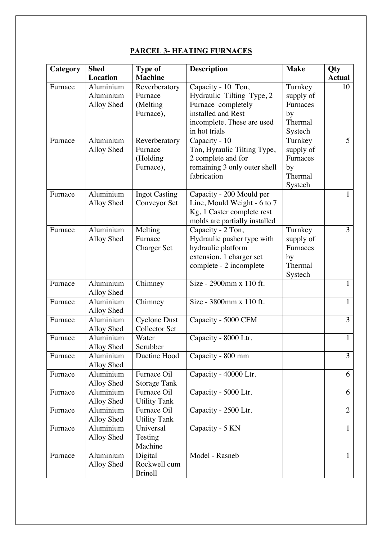## **PARCEL 3- HEATING FURNACES**

| Category | <b>Shed</b>             | <b>Type of</b>       | <b>Description</b>            | <b>Make</b> | Qty            |
|----------|-------------------------|----------------------|-------------------------------|-------------|----------------|
|          | Location                | <b>Machine</b>       |                               |             | <b>Actual</b>  |
| Furnace  | Aluminium               | Reverberatory        | Capacity - 10 Ton,            | Turnkey     | 10             |
|          | Aluminium               | Furnace              | Hydraulic Tilting Type, 2     | supply of   |                |
|          | Alloy Shed              | (Melting             | Furnace completely            | Furnaces    |                |
|          |                         | Furnace),            | installed and Rest            | by          |                |
|          |                         |                      | incomplete. These are used    | Thermal     |                |
|          |                         |                      | in hot trials                 | Systech     |                |
| Furnace  | Aluminium               | Reverberatory        | Capacity - 10                 | Turnkey     | 5              |
|          | Alloy Shed              | Furnace              | Ton, Hyraulic Tilting Type,   | supply of   |                |
|          |                         | (Holding             | 2 complete and for            | Furnaces    |                |
|          |                         | Furnace),            | remaining 3 only outer shell  | by          |                |
|          |                         |                      | fabrication                   | Thermal     |                |
|          |                         |                      |                               | Systech     |                |
| Furnace  | Aluminium               | <b>Ingot Casting</b> | Capacity - 200 Mould per      |             | $\mathbf{1}$   |
|          | Alloy Shed              | Conveyor Set         | Line, Mould Weight - 6 to 7   |             |                |
|          |                         |                      | Kg, 1 Caster complete rest    |             |                |
|          |                         |                      | molds are partially installed |             |                |
| Furnace  | Aluminium               | Melting              | Capacity - 2 Ton,             | Turnkey     | 3              |
|          | Alloy Shed              | Furnace              | Hydraulic pusher type with    | supply of   |                |
|          |                         | <b>Charger Set</b>   | hydraulic platform            | Furnaces    |                |
|          |                         |                      | extension, 1 charger set      | by          |                |
|          |                         |                      | complete - 2 incomplete       | Thermal     |                |
|          |                         |                      |                               | Systech     |                |
| Furnace  | Aluminium               | Chimney              | Size - 2900mm x 110 ft.       |             | $\mathbf{1}$   |
|          | Alloy Shed<br>Aluminium |                      | Size - 3800mm x 110 ft.       |             | 1              |
| Furnace  | Alloy Shed              | Chimney              |                               |             |                |
| Furnace  | Aluminium               | <b>Cyclone Dust</b>  | Capacity - 5000 CFM           |             | 3              |
|          | Alloy Shed              | <b>Collector Set</b> |                               |             |                |
| Furnace  | Aluminium               | Water                | Capacity - 8000 Ltr.          |             | $\mathbf{1}$   |
|          | Alloy Shed              | Scrubber             |                               |             |                |
| Furnace  | Aluminium               | Ductine Hood         | Capacity - 800 mm             |             | 3              |
|          | Alloy Shed              |                      |                               |             |                |
| Furnace  | Aluminium               | Furnace Oil          | Capacity - 40000 Ltr.         |             | 6              |
|          | Alloy Shed              | <b>Storage Tank</b>  |                               |             |                |
| Furnace  | Aluminium               | Furnace Oil          | Capacity - 5000 Ltr.          |             | 6              |
|          | Alloy Shed              | <b>Utility Tank</b>  |                               |             |                |
| Furnace  | Aluminium               | Furnace Oil          | Capacity - 2500 Ltr.          |             | $\overline{2}$ |
|          | Alloy Shed              | <b>Utility Tank</b>  |                               |             |                |
| Furnace  | Aluminium               | Universal            | Capacity - 5 KN               |             | $\mathbf{1}$   |
|          | Alloy Shed              | Testing              |                               |             |                |
|          |                         | Machine              |                               |             |                |
| Furnace  | Aluminium               | Digital              | Model - Rasneb                |             | $\mathbf{1}$   |
|          | Alloy Shed              | Rockwell cum         |                               |             |                |
|          |                         | <b>Brinell</b>       |                               |             |                |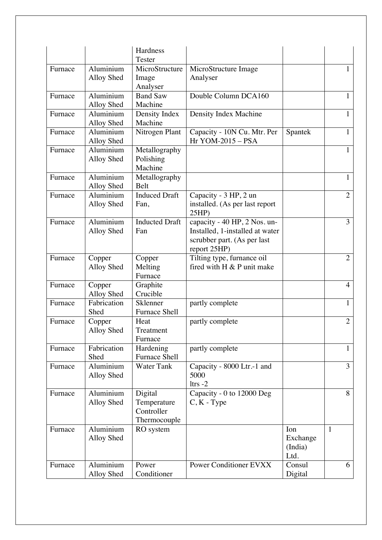|         |                         | Hardness<br>Tester                                   |                                                                                                                |                                    |                |
|---------|-------------------------|------------------------------------------------------|----------------------------------------------------------------------------------------------------------------|------------------------------------|----------------|
| Furnace | Aluminium<br>Alloy Shed | MicroStructure<br>Image<br>Analyser                  | MicroStructure Image<br>Analyser                                                                               |                                    |                |
| Furnace | Aluminium<br>Alloy Shed | <b>Band Saw</b><br>Machine                           | Double Column DCA160                                                                                           |                                    | 1              |
| Furnace | Aluminium<br>Alloy Shed | Density Index<br>Machine                             | Density Index Machine                                                                                          |                                    |                |
| Furnace | Aluminium<br>Alloy Shed | Nitrogen Plant                                       | Capacity - 10N Cu. Mtr. Per<br>Hr YOM-2015 - PSA                                                               | Spantek                            | 1              |
| Furnace | Aluminium<br>Alloy Shed | Metallography<br>Polishing<br>Machine                |                                                                                                                |                                    | 1              |
| Furnace | Aluminium<br>Alloy Shed | Metallography<br>Belt                                |                                                                                                                |                                    | 1              |
| Furnace | Aluminium<br>Alloy Shed | <b>Induced Draft</b><br>Fan.                         | Capacity - 3 HP, 2 un<br>installed. (As per last report<br>25HP                                                |                                    | $\overline{2}$ |
| Furnace | Aluminium<br>Alloy Shed | <b>Inducted Draft</b><br>Fan                         | capacity - 40 HP, 2 Nos. un-<br>Installed, 1-installed at water<br>scrubber part. (As per last<br>report 25HP) |                                    | 3              |
| Furnace | Copper<br>Alloy Shed    | Copper<br>Melting<br>Furnace                         | Tilting type, furnance oil<br>fired with H & P unit make                                                       |                                    | $\overline{2}$ |
| Furnace | Copper<br>Alloy Shed    | Graphite<br>Crucible                                 |                                                                                                                |                                    | $\overline{4}$ |
| Furnace | Fabrication<br>Shed     | Sklenner<br><b>Furnace Shell</b>                     | partly complete                                                                                                |                                    | 1              |
| Furnace | Copper<br>Alloy Shed    | Heat<br>Treatment<br>Furnace                         | partly complete                                                                                                |                                    | $\overline{2}$ |
| Furnace | Fabrication<br>Shed     | Hardening<br><b>Furnace Shell</b>                    | partly complete                                                                                                |                                    | 1              |
| Furnace | Aluminium<br>Alloy Shed | <b>Water Tank</b>                                    | Capacity - 8000 Ltr.-1 and<br>5000<br>$l$ trs $-2$                                                             |                                    | 3              |
| Furnace | Aluminium<br>Alloy Shed | Digital<br>Temperature<br>Controller<br>Thermocouple | Capacity - 0 to 12000 Deg<br>$C, K$ - Type                                                                     |                                    | 8              |
| Furnace | Aluminium<br>Alloy Shed | RO system                                            |                                                                                                                | Ion<br>Exchange<br>(India)<br>Ltd. | $\mathbf{1}$   |
| Furnace | Aluminium<br>Alloy Shed | Power<br>Conditioner                                 | <b>Power Conditioner EVXX</b>                                                                                  | Consul<br>Digital                  | 6              |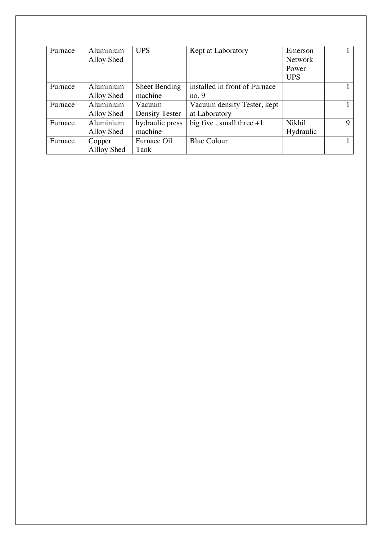| Furnace | Aluminium<br>Alloy Shed | <b>UPS</b>            | Kept at Laboratory            | Emerson<br><b>Network</b><br>Power<br><b>UPS</b> |   |
|---------|-------------------------|-----------------------|-------------------------------|--------------------------------------------------|---|
| Furnace | Aluminium               | <b>Sheet Bending</b>  | installed in front of Furnace |                                                  |   |
|         | Alloy Shed              | machine               | no.9                          |                                                  |   |
| Furnace | Aluminium               | Vacuum                | Vacuum density Tester, kept   |                                                  |   |
|         | Alloy Shed              | <b>Density Tester</b> | at Laboratory                 |                                                  |   |
| Furnace | Aluminium               | hydraulic press       | big five, small three $+1$    | Nikhil                                           | 9 |
|         | Alloy Shed              | machine               |                               | Hydraulic                                        |   |
| Furnace | Copper                  | Furnace Oil           | <b>Blue Colour</b>            |                                                  |   |
|         | Allloy Shed             | Tank                  |                               |                                                  |   |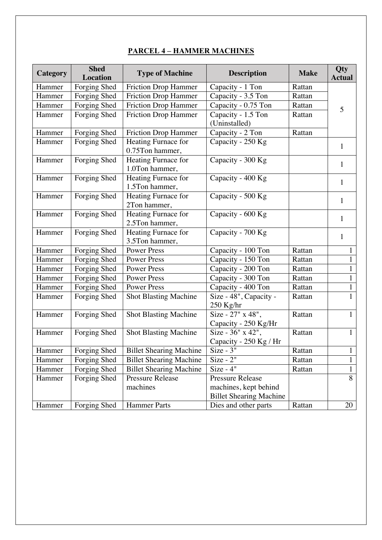### **PARCEL 4 – HAMMER MACHINES**

| Category | <b>Shed</b><br><b>Location</b> | <b>Type of Machine</b>         | <b>Description</b>             | <b>Make</b> | <b>Qty</b><br><b>Actual</b> |
|----------|--------------------------------|--------------------------------|--------------------------------|-------------|-----------------------------|
| Hammer   | Forging Shed                   | <b>Friction Drop Hammer</b>    | Capacity - 1 Ton               | Rattan      |                             |
| Hammer   | Forging Shed                   | <b>Friction Drop Hammer</b>    | Capacity - 3.5 Ton             | Rattan      |                             |
| Hammer   | Forging Shed                   | <b>Friction Drop Hammer</b>    | Capacity - 0.75 Ton            | Rattan      | 5                           |
| Hammer   | Forging Shed                   | <b>Friction Drop Hammer</b>    | Capacity - 1.5 Ton             | Rattan      |                             |
|          |                                |                                | (Uninstalled)                  |             |                             |
| Hammer   | Forging Shed                   | <b>Friction Drop Hammer</b>    | Capacity - 2 Ton               | Rattan      |                             |
| Hammer   | Forging Shed                   | Heating Furnace for            | Capacity - 250 Kg              |             |                             |
|          |                                | 0.75Ton hammer,                |                                |             | 1                           |
| Hammer   | Forging Shed                   | Heating Furnace for            | Capacity - 300 Kg              |             | $\mathbf{1}$                |
|          |                                | 1.0Ton hammer,                 |                                |             |                             |
| Hammer   | Forging Shed                   | Heating Furnace for            | Capacity - 400 Kg              |             | $\mathbf{1}$                |
|          |                                | 1.5Ton hammer,                 |                                |             |                             |
| Hammer   | Forging Shed                   | Heating Furnace for            | Capacity - 500 Kg              |             | $\mathbf{1}$                |
|          |                                | 2Ton hammer,                   |                                |             |                             |
| Hammer   | Forging Shed                   | Heating Furnace for            | Capacity - 600 Kg              |             | 1                           |
|          |                                | 2.5Ton hammer,                 |                                |             |                             |
| Hammer   | Forging Shed                   | Heating Furnace for            | Capacity - 700 Kg              |             | $\mathbf{1}$                |
|          |                                | 3.5Ton hammer,                 |                                |             |                             |
| Hammer   | Forging Shed                   | <b>Power Press</b>             | Capacity - 100 Ton             | Rattan      | $\mathbf{1}$                |
| Hammer   | Forging Shed                   | <b>Power Press</b>             | Capacity - 150 Ton             | Rattan      | $\mathbf{1}$                |
| Hammer   | Forging Shed                   | <b>Power Press</b>             | Capacity - 200 Ton             | Rattan      | $\mathbf{1}$                |
| Hammer   | Forging Shed                   | <b>Power Press</b>             | Capacity - 300 Ton             | Rattan      | $\mathbf{1}$                |
| Hammer   | Forging Shed                   | <b>Power Press</b>             | Capacity - 400 Ton             | Rattan      | $\mathbf{1}$                |
| Hammer   | Forging Shed                   | <b>Shot Blasting Machine</b>   | Size - 48", Capacity -         | Rattan      | $\mathbf{1}$                |
|          |                                |                                | $250$ Kg/hr                    |             |                             |
| Hammer   | Forging Shed                   | <b>Shot Blasting Machine</b>   | Size - $27" x 48",$            | Rattan      | $\mathbf{1}$                |
|          |                                |                                | Capacity - 250 Kg/Hr           |             |                             |
| Hammer   | Forging Shed                   | <b>Shot Blasting Machine</b>   | Size - 36" x 42",              | Rattan      | $\mathbf{1}$                |
|          |                                |                                | Capacity - 250 Kg / Hr         |             |                             |
|          | Hammer   Forging Shed          | <b>Billet Shearing Machine</b> | $Size - 3"$                    | Rattan      | $\mathbf{1}$                |
| Hammer   | Forging Shed                   | <b>Billet Shearing Machine</b> | $Size - 2"$                    | Rattan      | $\mathbf{1}$                |
| Hammer   | Forging Shed                   | <b>Billet Shearing Machine</b> | $Size - 4"$                    | Rattan      | $\mathbf{1}$                |
| Hammer   | Forging Shed                   | <b>Pressure Release</b>        | <b>Pressure Release</b>        |             | $\overline{8}$              |
|          |                                | machines                       | machines, kept behind          |             |                             |
|          |                                |                                | <b>Billet Shearing Machine</b> |             |                             |
| Hammer   | Forging Shed                   | <b>Hammer Parts</b>            | Dies and other parts           | Rattan      | 20                          |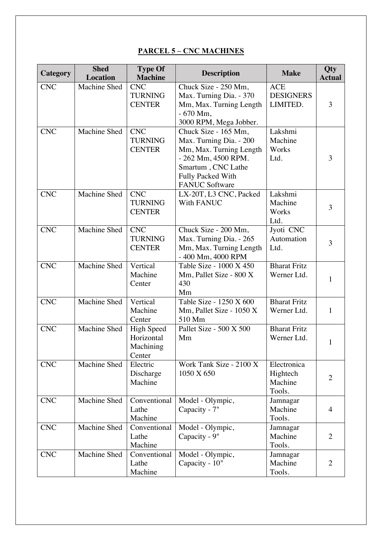### **PARCEL 5 – CNC MACHINES**

| Category                | <b>Shed</b><br><b>Location</b> | <b>Type Of</b><br><b>Machine</b>                       | <b>Description</b>                                                                                                                                                           | <b>Make</b>                                  | Qty<br><b>Actual</b> |
|-------------------------|--------------------------------|--------------------------------------------------------|------------------------------------------------------------------------------------------------------------------------------------------------------------------------------|----------------------------------------------|----------------------|
| <b>CNC</b>              | Machine Shed                   | <b>CNC</b><br><b>TURNING</b><br><b>CENTER</b>          | Chuck Size - 250 Mm,<br>Max. Turning Dia. - 370<br>Mm, Max. Turning Length<br>$-670$ Mm,<br>3000 RPM, Mega Jobber.                                                           | <b>ACE</b><br><b>DESIGNERS</b><br>LIMITED.   | 3                    |
| <b>CNC</b>              | Machine Shed                   | <b>CNC</b><br><b>TURNING</b><br><b>CENTER</b>          | Chuck Size - 165 Mm,<br>Max. Turning Dia. - 200<br>Mm, Max. Turning Length<br>- 262 Mm, 4500 RPM.<br>Smartum, CNC Lathe<br><b>Fully Packed With</b><br><b>FANUC Software</b> | Lakshmi<br>Machine<br>Works<br>Ltd.          | 3                    |
| $\overline{\text{CNC}}$ | <b>Machine Shed</b>            | <b>CNC</b><br><b>TURNING</b><br><b>CENTER</b>          | LX-20T, L3 CNC, Packed<br><b>With FANUC</b>                                                                                                                                  | Lakshmi<br>Machine<br>Works<br>Ltd.          | 3                    |
| <b>CNC</b>              | Machine Shed                   | <b>CNC</b><br><b>TURNING</b><br><b>CENTER</b>          | Chuck Size - 200 Mm,<br>Max. Turning Dia. - 265<br>Mm, Max. Turning Length<br>- 400 Mm, 4000 RPM                                                                             | Jyoti CNC<br>Automation<br>Ltd.              | 3                    |
| <b>CNC</b>              | <b>Machine Shed</b>            | Vertical<br>Machine<br>Center                          | Table Size - 1000 X 450<br>Mm, Pallet Size - 800 X<br>430<br>Mm                                                                                                              | <b>Bharat Fritz</b><br>Werner Ltd.           | 1                    |
| <b>CNC</b>              | Machine Shed                   | Vertical<br>Machine<br>Center                          | Table Size - 1250 X 600<br>Mm, Pallet Size - 1050 X<br>510 Mm                                                                                                                | <b>Bharat Fritz</b><br>Werner Ltd.           | 1                    |
| <b>CNC</b>              | Machine Shed                   | <b>High Speed</b><br>Horizontal<br>Machining<br>Center | Pallet Size - 500 X 500<br>Mm                                                                                                                                                | <b>Bharat Fritz</b><br>Werner Ltd.           | 1                    |
| <b>CNC</b>              | Machine Shed                   | Electric<br>Discharge<br>Machine                       | Work Tank Size - 2100 X<br>1050 X 650                                                                                                                                        | Electronica<br>Hightech<br>Machine<br>Tools. | $\overline{2}$       |
| C <sub>N</sub>          | <b>Machine Shed</b>            | Conventional<br>Lathe<br>Machine                       | Model - Olympic,<br>Capacity - 7"                                                                                                                                            | Jamnagar<br>Machine<br>Tools.                | $\overline{4}$       |
| $\overline{\text{CNC}}$ | Machine Shed                   | Conventional<br>Lathe<br>Machine                       | Model - Olympic,<br>Capacity - 9"                                                                                                                                            | Jamnagar<br>Machine<br>Tools.                | $\overline{2}$       |
| <b>CNC</b>              | Machine Shed                   | Conventional<br>Lathe<br>Machine                       | Model - Olympic,<br>Capacity - 10"                                                                                                                                           | Jamnagar<br>Machine<br>Tools.                | $\overline{2}$       |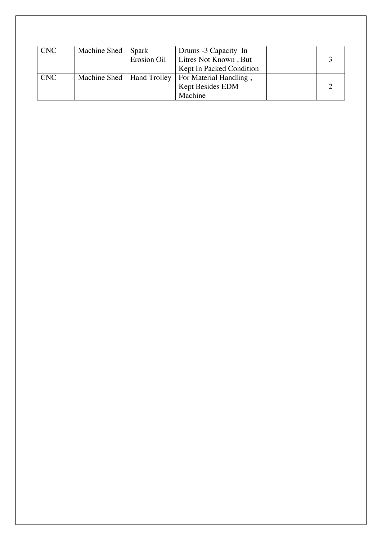| <b>CNC</b> | Machine Shed Spark          | Erosion Oil | Drums -3 Capacity In<br>Litres Not Known, But<br>Kept In Packed Condition |  |
|------------|-----------------------------|-------------|---------------------------------------------------------------------------|--|
| <b>CNC</b> | Machine Shed   Hand Trolley |             | For Material Handling,<br>Kept Besides EDM<br>Machine                     |  |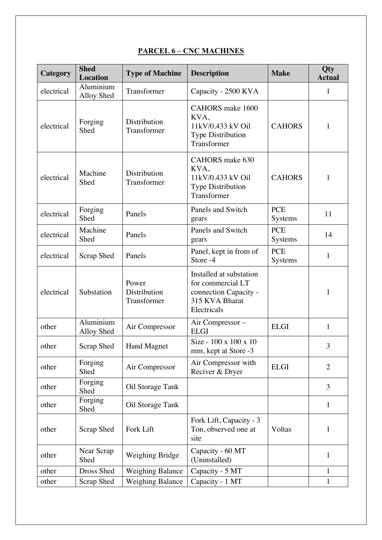| Category   | <b>Shed</b><br><b>Location</b> | <b>Type of Machine</b>               | <b>Description</b>                                                                                     | <b>Make</b>           | Qty<br><b>Actual</b> |
|------------|--------------------------------|--------------------------------------|--------------------------------------------------------------------------------------------------------|-----------------------|----------------------|
| electrical | Aluminium<br>Alloy Shed        | Transformer                          | Capacity - 2500 KVA                                                                                    |                       | $\mathbf 1$          |
| electrical | Forging<br>Shed                | Distribution<br>Transformer          | CAHORS make 1600<br>KVA,<br>11kV/0.433 kV Oil<br><b>Type Distribution</b><br>Transformer               | <b>CAHORS</b>         | 1                    |
| electrical | Machine<br>Shed                | Distribution<br>Transformer          | CAHORS make 630<br>KVA,<br>11kV/0.433 kV Oil<br><b>Type Distribution</b><br>Transformer                | <b>CAHORS</b>         | $\mathbf{1}$         |
| electrical | Forging<br>Shed                | Panels                               | Panels and Switch<br>gears                                                                             | <b>PCE</b><br>Systems | 11                   |
| electrical | Machine<br>Shed                | Panels                               | Panels and Switch<br>gears                                                                             | <b>PCE</b><br>Systems | 14                   |
| electrical | Scrap Shed                     | Panels                               | Panel, kept in from of<br>Store -4                                                                     | <b>PCE</b><br>Systems | 1                    |
| electrical | Substation                     | Power<br>Distribution<br>Transformer | Installed at substation<br>for commercial LT<br>connection Capacity -<br>315 KVA Bharat<br>Electricals |                       | 1                    |
| other      | Aluminium<br>Alloy Shed        | Air Compressor                       | Air Compressor -<br><b>ELGI</b>                                                                        | <b>ELGI</b>           | 1                    |
| other      | Scrap Shed                     | <b>Hand Magnet</b>                   | Size - 100 x 100 x 10<br>mm, kept at Store -3                                                          |                       | 3                    |
| other      | Forging<br>Shed                | Air Compressor                       | Air Compressor with<br>Reciver & Dryer                                                                 | <b>ELGI</b>           | $\overline{2}$       |
| other      | Forging<br>Shed                | Oil Storage Tank                     |                                                                                                        |                       | 3                    |
| other      | Forging<br>Shed                | Oil Storage Tank                     |                                                                                                        |                       | $\mathbf{1}$         |
| other      | Scrap Shed                     | Fork Lift                            | Fork Lift, Capacity - 3<br>Ton, observed one at<br>site                                                | Voltas                | 1                    |
| other      | Near Scrap<br>Shed             | Weighing Bridge                      | Capacity - 60 MT<br>(Uninstalled)                                                                      |                       | 1                    |
| other      | Dross Shed                     | <b>Weighing Balance</b>              | Capacity - 5 MT                                                                                        |                       | 1                    |
| other      | Scrap Shed                     | Weighing Balance                     | Capacity - 1 MT                                                                                        |                       | $\mathbf{1}$         |

## **PARCEL 6 – CNC MACHINES**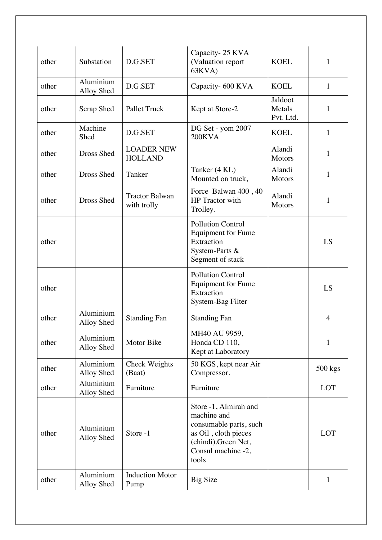| other | Substation              | D.G.SET                              | Capacity-25 KVA<br>(Valuation report<br>63KVA)                                                                                                | <b>KOEL</b>                    | $\mathbf{1}$   |
|-------|-------------------------|--------------------------------------|-----------------------------------------------------------------------------------------------------------------------------------------------|--------------------------------|----------------|
| other | Aluminium<br>Alloy Shed | D.G.SET                              | Capacity- 600 KVA                                                                                                                             | <b>KOEL</b>                    | $\mathbf{1}$   |
| other | Scrap Shed              | <b>Pallet Truck</b>                  | Kept at Store-2                                                                                                                               | Jaldoot<br>Metals<br>Pvt. Ltd. | 1              |
| other | Machine<br>Shed         | D.G.SET                              | DG Set - yom 2007<br><b>200KVA</b>                                                                                                            | <b>KOEL</b>                    | 1              |
| other | Dross Shed              | <b>LOADER NEW</b><br><b>HOLLAND</b>  |                                                                                                                                               | Alandi<br><b>Motors</b>        | 1              |
| other | Dross Shed              | Tanker                               | Tanker (4 KL)<br>Mounted on truck,                                                                                                            | Alandi<br><b>Motors</b>        | $\mathbf{1}$   |
| other | Dross Shed              | <b>Tractor Balwan</b><br>with trolly | Force Balwan 400, 40<br>HP Tractor with<br>Trolley.                                                                                           | Alandi<br><b>Motors</b>        | 1              |
| other |                         |                                      | <b>Pollution Control</b><br><b>Equipment for Fume</b><br>Extraction<br>System-Parts &<br>Segment of stack                                     |                                | LS             |
| other |                         |                                      | <b>Pollution Control</b><br><b>Equipment for Fume</b><br>Extraction<br>System-Bag Filter                                                      |                                | LS             |
| other | Aluminium<br>Alloy Shed | <b>Standing Fan</b>                  | <b>Standing Fan</b>                                                                                                                           |                                | $\overline{4}$ |
| other | Aluminium<br>Alloy Shed | Motor Bike                           | MH40 AU 9959,<br>Honda CD 110,<br>Kept at Laboratory                                                                                          |                                | 1              |
| other | Aluminium<br>Alloy Shed | Check Weights<br>(Baat)              | 50 KGS, kept near Air<br>Compressor.                                                                                                          |                                | 500 kgs        |
| other | Aluminium<br>Alloy Shed | Furniture                            | Furniture                                                                                                                                     |                                | LOT            |
| other | Aluminium<br>Alloy Shed | Store -1                             | Store -1, Almirah and<br>machine and<br>consumable parts, such<br>as Oil, cloth pieces<br>(chindi), Green Net,<br>Consul machine -2,<br>tools |                                | LOT            |
| other | Aluminium<br>Alloy Shed | <b>Induction Motor</b><br>Pump       | <b>Big Size</b>                                                                                                                               |                                | $\mathbf{1}$   |